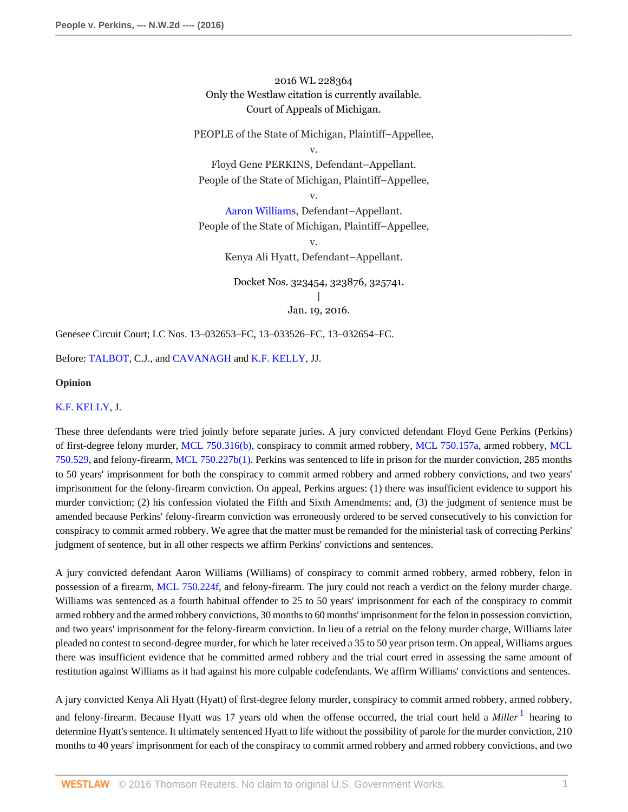2016 WL 228364 Only the Westlaw citation is currently available. Court of Appeals of Michigan.

PEOPLE of the State of Michigan, Plaintiff–Appellee,

v.

Floyd Gene PERKINS, Defendant–Appellant. People of the State of Michigan, Plaintiff–Appellee,

v.

[Aaron Williams,](http://www.westlaw.com/Search/Results.html?query=advanced%3a+OAID(5023702525)&saveJuris=False&contentType=BUSINESS-INVESTIGATOR&startIndex=1&contextData=(sc.Default)&categoryPageUrl=Home%2fCompanyInvestigator&originationContext=document&vr=3.0&rs=cblt1.0&transitionType=DocumentItem) Defendant–Appellant. People of the State of Michigan, Plaintiff–Appellee,

> v. Kenya Ali Hyatt, Defendant–Appellant.

Docket Nos. 323454, 323876, 325741. | Jan. 19, 2016.

Genesee Circuit Court; LC Nos. 13–032653–FC, 13–033526–FC, 13–032654–FC.

Before: [TALBOT,](http://www.westlaw.com/Link/Document/FullText?findType=h&pubNum=176284&cite=0200463201&originatingDoc=I0e673addbf7611e590d4edf60ce7d742&refType=RQ&originationContext=document&vr=3.0&rs=cblt1.0&transitionType=DocumentItem&contextData=(sc.Keycite)) C.J., and [CAVANAGH](http://www.westlaw.com/Link/Document/FullText?findType=h&pubNum=176284&cite=0139776201&originatingDoc=I0e673addbf7611e590d4edf60ce7d742&refType=RQ&originationContext=document&vr=3.0&rs=cblt1.0&transitionType=DocumentItem&contextData=(sc.Keycite)) and [K.F. KELLY](http://www.westlaw.com/Link/Document/FullText?findType=h&pubNum=176284&cite=0116759001&originatingDoc=I0e673addbf7611e590d4edf60ce7d742&refType=RQ&originationContext=document&vr=3.0&rs=cblt1.0&transitionType=DocumentItem&contextData=(sc.Keycite)), JJ.

### **Opinion**

## [K.F. KELLY](http://www.westlaw.com/Link/Document/FullText?findType=h&pubNum=176284&cite=0116759001&originatingDoc=I0e673addbf7611e590d4edf60ce7d742&refType=RQ&originationContext=document&vr=3.0&rs=cblt1.0&transitionType=DocumentItem&contextData=(sc.Keycite)), J.

These three defendants were tried jointly before separate juries. A jury convicted defendant Floyd Gene Perkins (Perkins) of first-degree felony murder, [MCL 750.316\(b\)](http://www.westlaw.com/Link/Document/FullText?findType=L&pubNum=1000043&cite=MIST750.316&originatingDoc=I0e673addbf7611e590d4edf60ce7d742&refType=LQ&originationContext=document&vr=3.0&rs=cblt1.0&transitionType=DocumentItem&contextData=(sc.Keycite)), conspiracy to commit armed robbery, [MCL 750.157a,](http://www.westlaw.com/Link/Document/FullText?findType=L&pubNum=1000043&cite=MIST750.157A&originatingDoc=I0e673addbf7611e590d4edf60ce7d742&refType=LQ&originationContext=document&vr=3.0&rs=cblt1.0&transitionType=DocumentItem&contextData=(sc.Keycite)) armed robbery, [MCL](http://www.westlaw.com/Link/Document/FullText?findType=L&pubNum=1000043&cite=MIST750.529&originatingDoc=I0e673addbf7611e590d4edf60ce7d742&refType=LQ&originationContext=document&vr=3.0&rs=cblt1.0&transitionType=DocumentItem&contextData=(sc.Keycite)) [750.529](http://www.westlaw.com/Link/Document/FullText?findType=L&pubNum=1000043&cite=MIST750.529&originatingDoc=I0e673addbf7611e590d4edf60ce7d742&refType=LQ&originationContext=document&vr=3.0&rs=cblt1.0&transitionType=DocumentItem&contextData=(sc.Keycite)), and felony-firearm, [MCL 750.227b\(1\)](http://www.westlaw.com/Link/Document/FullText?findType=L&pubNum=1000043&cite=MIST750.227B&originatingDoc=I0e673addbf7611e590d4edf60ce7d742&refType=LQ&originationContext=document&vr=3.0&rs=cblt1.0&transitionType=DocumentItem&contextData=(sc.Keycite)). Perkins was sentenced to life in prison for the murder conviction, 285 months to 50 years' imprisonment for both the conspiracy to commit armed robbery and armed robbery convictions, and two years' imprisonment for the felony-firearm conviction. On appeal, Perkins argues: (1) there was insufficient evidence to support his murder conviction; (2) his confession violated the Fifth and Sixth Amendments; and, (3) the judgment of sentence must be amended because Perkins' felony-firearm conviction was erroneously ordered to be served consecutively to his conviction for conspiracy to commit armed robbery. We agree that the matter must be remanded for the ministerial task of correcting Perkins' judgment of sentence, but in all other respects we affirm Perkins' convictions and sentences.

A jury convicted defendant Aaron Williams (Williams) of conspiracy to commit armed robbery, armed robbery, felon in possession of a firearm, [MCL 750.224f](http://www.westlaw.com/Link/Document/FullText?findType=L&pubNum=1000043&cite=MIST750.224F&originatingDoc=I0e673addbf7611e590d4edf60ce7d742&refType=LQ&originationContext=document&vr=3.0&rs=cblt1.0&transitionType=DocumentItem&contextData=(sc.Keycite)), and felony-firearm. The jury could not reach a verdict on the felony murder charge. Williams was sentenced as a fourth habitual offender to 25 to 50 years' imprisonment for each of the conspiracy to commit armed robbery and the armed robbery convictions, 30 months to 60 months' imprisonment for the felon in possession conviction, and two years' imprisonment for the felony-firearm conviction. In lieu of a retrial on the felony murder charge, Williams later pleaded no contest to second-degree murder, for which he later received a 35 to 50 year prison term. On appeal, Williams argues there was insufficient evidence that he committed armed robbery and the trial court erred in assessing the same amount of restitution against Williams as it had against his more culpable codefendants. We affirm Williams' convictions and sentences.

<span id="page-0-0"></span>A jury convicted Kenya Ali Hyatt (Hyatt) of first-degree felony murder, conspiracy to commit armed robbery, armed robbery, and felony-firearm. Because Hyatt was [1](#page-15-0)7 years old when the offense occurred, the trial court held a *Miller* <sup>1</sup> hearing to determine Hyatt's sentence. It ultimately sentenced Hyatt to life without the possibility of parole for the murder conviction, 210 months to 40 years' imprisonment for each of the conspiracy to commit armed robbery and armed robbery convictions, and two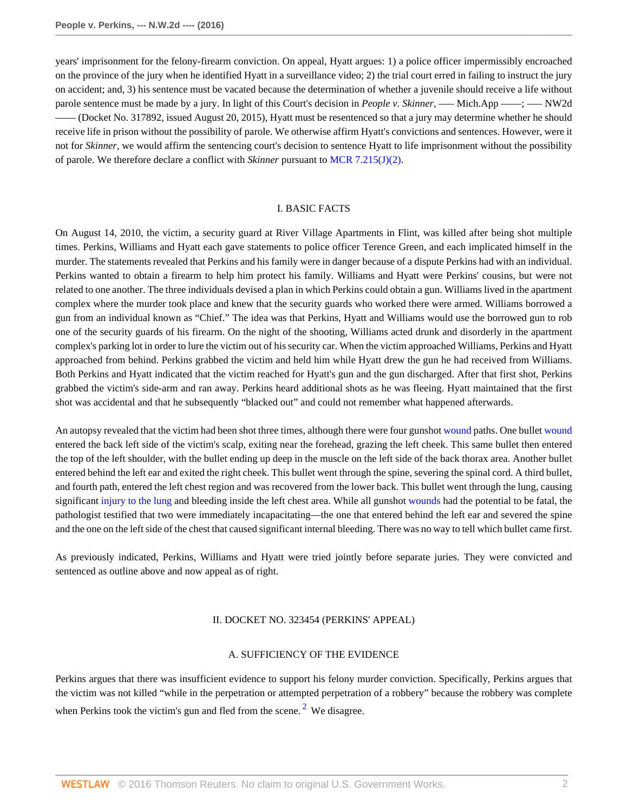years' imprisonment for the felony-firearm conviction. On appeal, Hyatt argues: 1) a police officer impermissibly encroached on the province of the jury when he identified Hyatt in a surveillance video; 2) the trial court erred in failing to instruct the jury on accident; and, 3) his sentence must be vacated because the determination of whether a juvenile should receive a life without parole sentence must be made by a jury. In light of this Court's decision in *People v. Skinner*, —– Mich.App —–; —– NW2d –––– (Docket No. 317892, issued August 20, 2015), Hyatt must be resentenced so that a jury may determine whether he should receive life in prison without the possibility of parole. We otherwise affirm Hyatt's convictions and sentences. However, were it not for *Skinner,* we would affirm the sentencing court's decision to sentence Hyatt to life imprisonment without the possibility of parole. We therefore declare a conflict with *Skinner* pursuant to [MCR 7.215\(J\)\(2\)](http://www.westlaw.com/Link/Document/FullText?findType=L&pubNum=1005479&cite=MIRAMCR7.215&originatingDoc=I0e673addbf7611e590d4edf60ce7d742&refType=LQ&originationContext=document&vr=3.0&rs=cblt1.0&transitionType=DocumentItem&contextData=(sc.Keycite)).

## I. BASIC FACTS

On August 14, 2010, the victim, a security guard at River Village Apartments in Flint, was killed after being shot multiple times. Perkins, Williams and Hyatt each gave statements to police officer Terence Green, and each implicated himself in the murder. The statements revealed that Perkins and his family were in danger because of a dispute Perkins had with an individual. Perkins wanted to obtain a firearm to help him protect his family. Williams and Hyatt were Perkins' cousins, but were not related to one another. The three individuals devised a plan in which Perkins could obtain a gun. Williams lived in the apartment complex where the murder took place and knew that the security guards who worked there were armed. Williams borrowed a gun from an individual known as "Chief." The idea was that Perkins, Hyatt and Williams would use the borrowed gun to rob one of the security guards of his firearm. On the night of the shooting, Williams acted drunk and disorderly in the apartment complex's parking lot in order to lure the victim out of his security car. When the victim approached Williams, Perkins and Hyatt approached from behind. Perkins grabbed the victim and held him while Hyatt drew the gun he had received from Williams. Both Perkins and Hyatt indicated that the victim reached for Hyatt's gun and the gun discharged. After that first shot, Perkins grabbed the victim's side-arm and ran away. Perkins heard additional shots as he was fleeing. Hyatt maintained that the first shot was accidental and that he subsequently "blacked out" and could not remember what happened afterwards.

An autopsy revealed that the victim had been shot three times, although there were four gunshot [wound](http://www.westlaw.com/Link/Document/FullText?entityType=gdrug&entityId=Iff1648e16c7111e18b05fdf15589d8e8&originationContext=document&transitionType=DocumentItem&contextData=(sc.Default)&vr=3.0&rs=cblt1.0) paths. One bullet [wound](http://www.westlaw.com/Link/Document/FullText?entityType=gdrug&entityId=Iff1648e16c7111e18b05fdf15589d8e8&originationContext=document&transitionType=DocumentItem&contextData=(sc.Default)&vr=3.0&rs=cblt1.0) entered the back left side of the victim's scalp, exiting near the forehead, grazing the left cheek. This same bullet then entered the top of the left shoulder, with the bullet ending up deep in the muscle on the left side of the back thorax area. Another bullet entered behind the left ear and exited the right cheek. This bullet went through the spine, severing the spinal cord. A third bullet, and fourth path, entered the left chest region and was recovered from the lower back. This bullet went through the lung, causing significant [injury to the lung](http://www.westlaw.com/Link/Document/FullText?entityType=injury&entityId=I5d80571f995711de9b8c850332338889&originationContext=document&transitionType=DocumentItem&contextData=(sc.Default)&vr=3.0&rs=cblt1.0) and bleeding inside the left chest area. While all gunshot [wounds](http://www.westlaw.com/Link/Document/FullText?entityType=gdrug&entityId=Iff1648e16c7111e18b05fdf15589d8e8&originationContext=document&transitionType=DocumentItem&contextData=(sc.Default)&vr=3.0&rs=cblt1.0) had the potential to be fatal, the pathologist testified that two were immediately incapacitating—the one that entered behind the left ear and severed the spine and the one on the left side of the chest that caused significant internal bleeding. There was no way to tell which bullet came first.

As previously indicated, Perkins, Williams and Hyatt were tried jointly before separate juries. They were convicted and sentenced as outline above and now appeal as of right.

#### II. DOCKET NO. 323454 (PERKINS' APPEAL)

#### <span id="page-1-0"></span>A. SUFFICIENCY OF THE EVIDENCE

Perkins argues that there was insufficient evidence to support his felony murder conviction. Specifically, Perkins argues that the victim was not killed "while in the perpetration or attempted perpetration of a robbery" because the robbery was complete when Perkins took the victim's gun and fled from the scene.<sup>[2](#page-15-1)</sup> We disagree.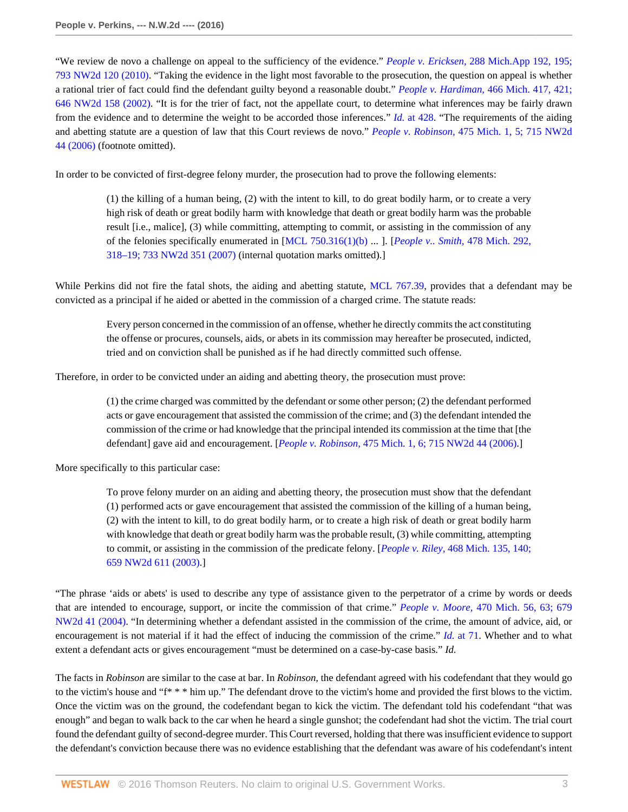"We review de novo a challenge on appeal to the sufficiency of the evidence." *People v. Ericksen,* [288 Mich.App 192, 195;](http://www.westlaw.com/Link/Document/FullText?findType=Y&serNum=2021771625&pubNum=0000595&originatingDoc=I0e673addbf7611e590d4edf60ce7d742&refType=RP&originationContext=document&vr=3.0&rs=cblt1.0&transitionType=DocumentItem&contextData=(sc.Keycite)) [793 NW2d 120 \(2010\)](http://www.westlaw.com/Link/Document/FullText?findType=Y&serNum=2021771625&pubNum=0000595&originatingDoc=I0e673addbf7611e590d4edf60ce7d742&refType=RP&originationContext=document&vr=3.0&rs=cblt1.0&transitionType=DocumentItem&contextData=(sc.Keycite)). "Taking the evidence in the light most favorable to the prosecution, the question on appeal is whether a rational trier of fact could find the defendant guilty beyond a reasonable doubt." *People v. Hardiman,* [466 Mich. 417, 421;](http://www.westlaw.com/Link/Document/FullText?findType=Y&serNum=2002405391&pubNum=0000595&originatingDoc=I0e673addbf7611e590d4edf60ce7d742&refType=RP&originationContext=document&vr=3.0&rs=cblt1.0&transitionType=DocumentItem&contextData=(sc.Keycite)) [646 NW2d 158 \(2002\).](http://www.westlaw.com/Link/Document/FullText?findType=Y&serNum=2002405391&pubNum=0000595&originatingDoc=I0e673addbf7611e590d4edf60ce7d742&refType=RP&originationContext=document&vr=3.0&rs=cblt1.0&transitionType=DocumentItem&contextData=(sc.Keycite)) "It is for the trier of fact, not the appellate court, to determine what inferences may be fairly drawn from the evidence and to determine the weight to be accorded those inferences." *Id.* [at 428.](http://www.westlaw.com/Link/Document/FullText?findType=Y&serNum=2002405391&pubNum=0000542&originatingDoc=I0e673addbf7611e590d4edf60ce7d742&refType=RP&fi=co_pp_sp_542_428&originationContext=document&vr=3.0&rs=cblt1.0&transitionType=DocumentItem&contextData=(sc.Keycite)#co_pp_sp_542_428) "The requirements of the aiding and abetting statute are a question of law that this Court reviews de novo." *People v. Robinson,* [475 Mich. 1, 5; 715 NW2d](http://www.westlaw.com/Link/Document/FullText?findType=Y&serNum=2009298842&pubNum=0000595&originatingDoc=I0e673addbf7611e590d4edf60ce7d742&refType=RP&originationContext=document&vr=3.0&rs=cblt1.0&transitionType=DocumentItem&contextData=(sc.Keycite)) [44 \(2006\)](http://www.westlaw.com/Link/Document/FullText?findType=Y&serNum=2009298842&pubNum=0000595&originatingDoc=I0e673addbf7611e590d4edf60ce7d742&refType=RP&originationContext=document&vr=3.0&rs=cblt1.0&transitionType=DocumentItem&contextData=(sc.Keycite)) (footnote omitted).

In order to be convicted of first-degree felony murder, the prosecution had to prove the following elements:

(1) the killing of a human being, (2) with the intent to kill, to do great bodily harm, or to create a very high risk of death or great bodily harm with knowledge that death or great bodily harm was the probable result [i.e., malice], (3) while committing, attempting to commit, or assisting in the commission of any of the felonies specifically enumerated in [\[MCL 750.316\(1\)\(b\)](http://www.westlaw.com/Link/Document/FullText?findType=L&pubNum=1000043&cite=MIST750.316&originatingDoc=I0e673addbf7611e590d4edf60ce7d742&refType=LQ&originationContext=document&vr=3.0&rs=cblt1.0&transitionType=DocumentItem&contextData=(sc.Keycite)) ... ]. [*[People v.. Smith,](http://www.westlaw.com/Link/Document/FullText?findType=Y&serNum=2012519317&pubNum=0000595&originatingDoc=I0e673addbf7611e590d4edf60ce7d742&refType=RP&originationContext=document&vr=3.0&rs=cblt1.0&transitionType=DocumentItem&contextData=(sc.Keycite))* 478 Mich. 292, [318–19; 733 NW2d 351 \(2007\)](http://www.westlaw.com/Link/Document/FullText?findType=Y&serNum=2012519317&pubNum=0000595&originatingDoc=I0e673addbf7611e590d4edf60ce7d742&refType=RP&originationContext=document&vr=3.0&rs=cblt1.0&transitionType=DocumentItem&contextData=(sc.Keycite)) (internal quotation marks omitted).]

While Perkins did not fire the fatal shots, the aiding and abetting statute, [MCL 767.39,](http://www.westlaw.com/Link/Document/FullText?findType=L&pubNum=1000043&cite=MIST767.39&originatingDoc=I0e673addbf7611e590d4edf60ce7d742&refType=LQ&originationContext=document&vr=3.0&rs=cblt1.0&transitionType=DocumentItem&contextData=(sc.Keycite)) provides that a defendant may be convicted as a principal if he aided or abetted in the commission of a charged crime. The statute reads:

Every person concerned in the commission of an offense, whether he directly commits the act constituting the offense or procures, counsels, aids, or abets in its commission may hereafter be prosecuted, indicted, tried and on conviction shall be punished as if he had directly committed such offense.

Therefore, in order to be convicted under an aiding and abetting theory, the prosecution must prove:

(1) the crime charged was committed by the defendant or some other person; (2) the defendant performed acts or gave encouragement that assisted the commission of the crime; and (3) the defendant intended the commission of the crime or had knowledge that the principal intended its commission at the time that [the defendant] gave aid and encouragement. [*People v. Robinson,* [475 Mich. 1, 6; 715 NW2d 44 \(2006\).](http://www.westlaw.com/Link/Document/FullText?findType=Y&serNum=2009298842&pubNum=0000595&originatingDoc=I0e673addbf7611e590d4edf60ce7d742&refType=RP&originationContext=document&vr=3.0&rs=cblt1.0&transitionType=DocumentItem&contextData=(sc.Keycite))]

More specifically to this particular case:

To prove felony murder on an aiding and abetting theory, the prosecution must show that the defendant (1) performed acts or gave encouragement that assisted the commission of the killing of a human being, (2) with the intent to kill, to do great bodily harm, or to create a high risk of death or great bodily harm with knowledge that death or great bodily harm was the probable result, (3) while committing, attempting to commit, or assisting in the commission of the predicate felony. [*People v. Riley,* [468 Mich. 135, 140;](http://www.westlaw.com/Link/Document/FullText?findType=Y&serNum=2003306961&pubNum=0000595&originatingDoc=I0e673addbf7611e590d4edf60ce7d742&refType=RP&originationContext=document&vr=3.0&rs=cblt1.0&transitionType=DocumentItem&contextData=(sc.Keycite)) [659 NW2d 611 \(2003\).](http://www.westlaw.com/Link/Document/FullText?findType=Y&serNum=2003306961&pubNum=0000595&originatingDoc=I0e673addbf7611e590d4edf60ce7d742&refType=RP&originationContext=document&vr=3.0&rs=cblt1.0&transitionType=DocumentItem&contextData=(sc.Keycite))]

"The phrase 'aids or abets' is used to describe any type of assistance given to the perpetrator of a crime by words or deeds that are intended to encourage, support, or incite the commission of that crime." *People v. Moore,* [470 Mich. 56, 63; 679](http://www.westlaw.com/Link/Document/FullText?findType=Y&serNum=2004465272&pubNum=0000595&originatingDoc=I0e673addbf7611e590d4edf60ce7d742&refType=RP&originationContext=document&vr=3.0&rs=cblt1.0&transitionType=DocumentItem&contextData=(sc.Keycite)) [NW2d 41 \(2004\).](http://www.westlaw.com/Link/Document/FullText?findType=Y&serNum=2004465272&pubNum=0000595&originatingDoc=I0e673addbf7611e590d4edf60ce7d742&refType=RP&originationContext=document&vr=3.0&rs=cblt1.0&transitionType=DocumentItem&contextData=(sc.Keycite)) "In determining whether a defendant assisted in the commission of the crime, the amount of advice, aid, or encouragement is not material if it had the effect of inducing the commission of the crime." *Id.* [at 71.](http://www.westlaw.com/Link/Document/FullText?findType=Y&serNum=2004465272&pubNum=0000542&originatingDoc=I0e673addbf7611e590d4edf60ce7d742&refType=RP&fi=co_pp_sp_542_71&originationContext=document&vr=3.0&rs=cblt1.0&transitionType=DocumentItem&contextData=(sc.Keycite)#co_pp_sp_542_71) Whether and to what extent a defendant acts or gives encouragement "must be determined on a case-by-case basis." *Id.*

The facts in *Robinson* are similar to the case at bar. In *Robinson,* the defendant agreed with his codefendant that they would go to the victim's house and "f\* \* \* him up." The defendant drove to the victim's home and provided the first blows to the victim. Once the victim was on the ground, the codefendant began to kick the victim. The defendant told his codefendant "that was enough" and began to walk back to the car when he heard a single gunshot; the codefendant had shot the victim. The trial court found the defendant guilty of second-degree murder. This Court reversed, holding that there was insufficient evidence to support the defendant's conviction because there was no evidence establishing that the defendant was aware of his codefendant's intent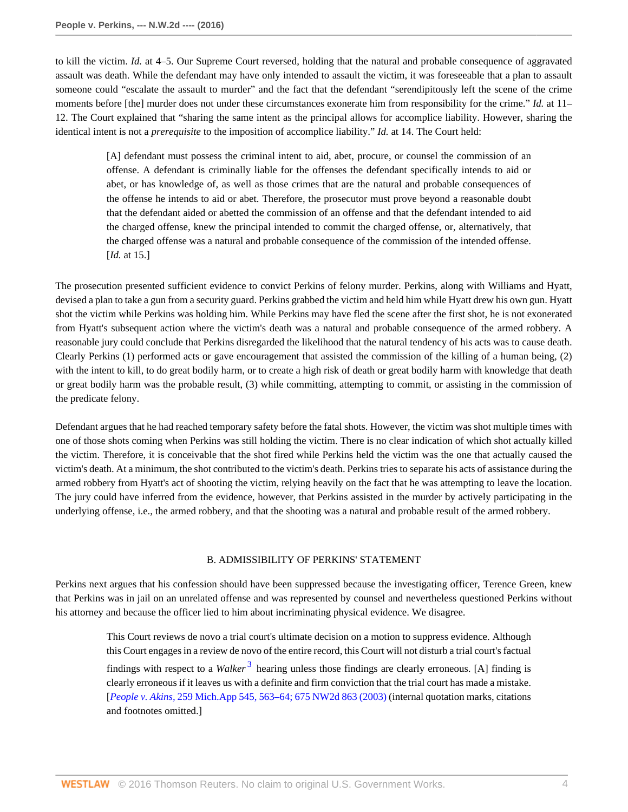to kill the victim. *Id.* at 4–5. Our Supreme Court reversed, holding that the natural and probable consequence of aggravated assault was death. While the defendant may have only intended to assault the victim, it was foreseeable that a plan to assault someone could "escalate the assault to murder" and the fact that the defendant "serendipitously left the scene of the crime moments before [the] murder does not under these circumstances exonerate him from responsibility for the crime." *Id.* at 11– 12. The Court explained that "sharing the same intent as the principal allows for accomplice liability. However, sharing the identical intent is not a *prerequisite* to the imposition of accomplice liability." *Id.* at 14. The Court held:

[A] defendant must possess the criminal intent to aid, abet, procure, or counsel the commission of an offense. A defendant is criminally liable for the offenses the defendant specifically intends to aid or abet, or has knowledge of, as well as those crimes that are the natural and probable consequences of the offense he intends to aid or abet. Therefore, the prosecutor must prove beyond a reasonable doubt that the defendant aided or abetted the commission of an offense and that the defendant intended to aid the charged offense, knew the principal intended to commit the charged offense, or, alternatively, that the charged offense was a natural and probable consequence of the commission of the intended offense. [*Id.* at 15.]

The prosecution presented sufficient evidence to convict Perkins of felony murder. Perkins, along with Williams and Hyatt, devised a plan to take a gun from a security guard. Perkins grabbed the victim and held him while Hyatt drew his own gun. Hyatt shot the victim while Perkins was holding him. While Perkins may have fled the scene after the first shot, he is not exonerated from Hyatt's subsequent action where the victim's death was a natural and probable consequence of the armed robbery. A reasonable jury could conclude that Perkins disregarded the likelihood that the natural tendency of his acts was to cause death. Clearly Perkins (1) performed acts or gave encouragement that assisted the commission of the killing of a human being, (2) with the intent to kill, to do great bodily harm, or to create a high risk of death or great bodily harm with knowledge that death or great bodily harm was the probable result, (3) while committing, attempting to commit, or assisting in the commission of the predicate felony.

Defendant argues that he had reached temporary safety before the fatal shots. However, the victim was shot multiple times with one of those shots coming when Perkins was still holding the victim. There is no clear indication of which shot actually killed the victim. Therefore, it is conceivable that the shot fired while Perkins held the victim was the one that actually caused the victim's death. At a minimum, the shot contributed to the victim's death. Perkins tries to separate his acts of assistance during the armed robbery from Hyatt's act of shooting the victim, relying heavily on the fact that he was attempting to leave the location. The jury could have inferred from the evidence, however, that Perkins assisted in the murder by actively participating in the underlying offense, i.e., the armed robbery, and that the shooting was a natural and probable result of the armed robbery.

## <span id="page-3-0"></span>B. ADMISSIBILITY OF PERKINS' STATEMENT

Perkins next argues that his confession should have been suppressed because the investigating officer, Terence Green, knew that Perkins was in jail on an unrelated offense and was represented by counsel and nevertheless questioned Perkins without his attorney and because the officer lied to him about incriminating physical evidence. We disagree.

This Court reviews de novo a trial court's ultimate decision on a motion to suppress evidence. Although this Court engages in a review de novo of the entire record, this Court will not disturb a trial court's factual findings with respect to a *Walker*<sup>[3](#page-15-2)</sup> hearing unless those findings are clearly erroneous. [A] finding is clearly erroneous if it leaves us with a definite and firm conviction that the trial court has made a mistake. [*People v. Akins,* [259 Mich.App 545, 563–64; 675 NW2d 863 \(2003\)](http://www.westlaw.com/Link/Document/FullText?findType=Y&serNum=2003910110&pubNum=0000595&originatingDoc=I0e673addbf7611e590d4edf60ce7d742&refType=RP&originationContext=document&vr=3.0&rs=cblt1.0&transitionType=DocumentItem&contextData=(sc.Keycite)) (internal quotation marks, citations and footnotes omitted.]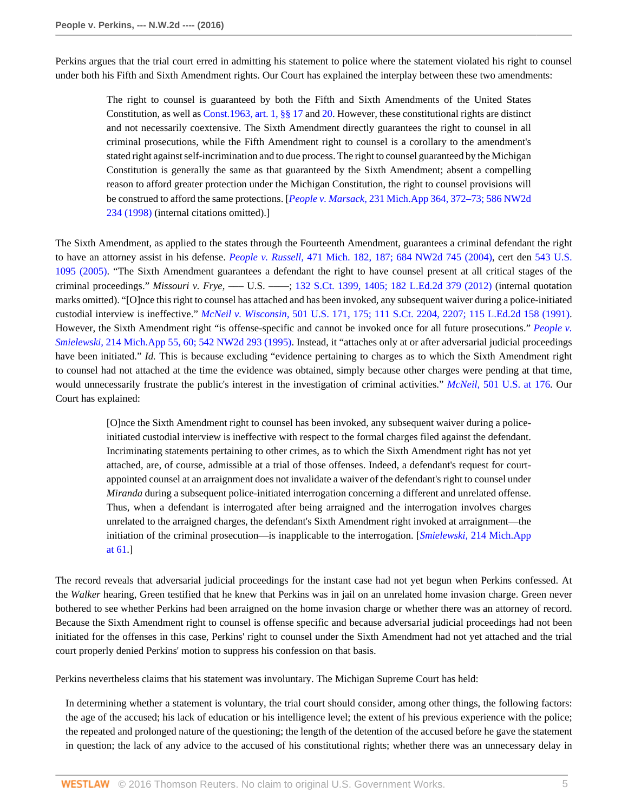Perkins argues that the trial court erred in admitting his statement to police where the statement violated his right to counsel under both his Fifth and Sixth Amendment rights. Our Court has explained the interplay between these two amendments:

The right to counsel is guaranteed by both the Fifth and Sixth Amendments of the United States Constitution, as well as [Const.1963, art. 1, §§ 17](http://www.westlaw.com/Link/Document/FullText?findType=L&pubNum=1000643&cite=MICOART1S17&originatingDoc=I0e673addbf7611e590d4edf60ce7d742&refType=LQ&originationContext=document&vr=3.0&rs=cblt1.0&transitionType=DocumentItem&contextData=(sc.Keycite)) and [20](http://www.westlaw.com/Link/Document/FullText?findType=L&pubNum=1000643&cite=MICOART1S20&originatingDoc=I0e673addbf7611e590d4edf60ce7d742&refType=LQ&originationContext=document&vr=3.0&rs=cblt1.0&transitionType=DocumentItem&contextData=(sc.Keycite)). However, these constitutional rights are distinct and not necessarily coextensive. The Sixth Amendment directly guarantees the right to counsel in all criminal prosecutions, while the Fifth Amendment right to counsel is a corollary to the amendment's stated right against self-incrimination and to due process. The right to counsel guaranteed by the Michigan Constitution is generally the same as that guaranteed by the Sixth Amendment; absent a compelling reason to afford greater protection under the Michigan Constitution, the right to counsel provisions will be construed to afford the same protections. [*People v. Marsack,* [231 Mich.App 364, 372–73; 586 NW2d](http://www.westlaw.com/Link/Document/FullText?findType=Y&serNum=1998177322&pubNum=0000595&originatingDoc=I0e673addbf7611e590d4edf60ce7d742&refType=RP&originationContext=document&vr=3.0&rs=cblt1.0&transitionType=DocumentItem&contextData=(sc.Keycite)) [234 \(1998\)](http://www.westlaw.com/Link/Document/FullText?findType=Y&serNum=1998177322&pubNum=0000595&originatingDoc=I0e673addbf7611e590d4edf60ce7d742&refType=RP&originationContext=document&vr=3.0&rs=cblt1.0&transitionType=DocumentItem&contextData=(sc.Keycite)) (internal citations omitted).]

The Sixth Amendment, as applied to the states through the Fourteenth Amendment, guarantees a criminal defendant the right to have an attorney assist in his defense. *People v. Russell,* [471 Mich. 182, 187; 684 NW2d 745 \(2004\)](http://www.westlaw.com/Link/Document/FullText?findType=Y&serNum=2004750850&pubNum=0000595&originatingDoc=I0e673addbf7611e590d4edf60ce7d742&refType=RP&originationContext=document&vr=3.0&rs=cblt1.0&transitionType=DocumentItem&contextData=(sc.Keycite)), cert den [543 U.S.](http://www.westlaw.com/Link/Document/FullText?findType=Y&serNum=2005374703&pubNum=0000780&originatingDoc=I0e673addbf7611e590d4edf60ce7d742&refType=RP&originationContext=document&vr=3.0&rs=cblt1.0&transitionType=DocumentItem&contextData=(sc.Keycite)) [1095 \(2005\)](http://www.westlaw.com/Link/Document/FullText?findType=Y&serNum=2005374703&pubNum=0000780&originatingDoc=I0e673addbf7611e590d4edf60ce7d742&refType=RP&originationContext=document&vr=3.0&rs=cblt1.0&transitionType=DocumentItem&contextData=(sc.Keycite)). "The Sixth Amendment guarantees a defendant the right to have counsel present at all critical stages of the criminal proceedings." *Missouri v. Frye,* ––– U.S. ––––; [132 S.Ct. 1399, 1405; 182 L.Ed.2d 379 \(2012\)](http://www.westlaw.com/Link/Document/FullText?findType=Y&serNum=2027347363&pubNum=0000708&originatingDoc=I0e673addbf7611e590d4edf60ce7d742&refType=RP&fi=co_pp_sp_708_1405&originationContext=document&vr=3.0&rs=cblt1.0&transitionType=DocumentItem&contextData=(sc.Keycite)#co_pp_sp_708_1405) (internal quotation marks omitted). "[O]nce this right to counsel has attached and has been invoked, any subsequent waiver during a police-initiated custodial interview is ineffective." *McNeil v. Wisconsin,* [501 U.S. 171, 175; 111 S.Ct. 2204, 2207; 115 L.Ed.2d 158 \(1991\)](http://www.westlaw.com/Link/Document/FullText?findType=Y&serNum=1991106871&pubNum=0000708&originatingDoc=I0e673addbf7611e590d4edf60ce7d742&refType=RP&fi=co_pp_sp_708_2207&originationContext=document&vr=3.0&rs=cblt1.0&transitionType=DocumentItem&contextData=(sc.Keycite)#co_pp_sp_708_2207). However, the Sixth Amendment right "is offense-specific and cannot be invoked once for all future prosecutions." *[People v.](http://www.westlaw.com/Link/Document/FullText?findType=Y&serNum=1995212684&pubNum=0000595&originatingDoc=I0e673addbf7611e590d4edf60ce7d742&refType=RP&originationContext=document&vr=3.0&rs=cblt1.0&transitionType=DocumentItem&contextData=(sc.Keycite)) Smielewski,* [214 Mich.App 55, 60; 542 NW2d 293 \(1995\)](http://www.westlaw.com/Link/Document/FullText?findType=Y&serNum=1995212684&pubNum=0000595&originatingDoc=I0e673addbf7611e590d4edf60ce7d742&refType=RP&originationContext=document&vr=3.0&rs=cblt1.0&transitionType=DocumentItem&contextData=(sc.Keycite)). Instead, it "attaches only at or after adversarial judicial proceedings have been initiated." *Id.* This is because excluding "evidence pertaining to charges as to which the Sixth Amendment right to counsel had not attached at the time the evidence was obtained, simply because other charges were pending at that time, would unnecessarily frustrate the public's interest in the investigation of criminal activities." *McNeil,* [501 U.S. at 176.](http://www.westlaw.com/Link/Document/FullText?findType=Y&serNum=1991106871&pubNum=0000780&originatingDoc=I0e673addbf7611e590d4edf60ce7d742&refType=RP&fi=co_pp_sp_780_176&originationContext=document&vr=3.0&rs=cblt1.0&transitionType=DocumentItem&contextData=(sc.Keycite)#co_pp_sp_780_176) Our Court has explained:

[O]nce the Sixth Amendment right to counsel has been invoked, any subsequent waiver during a policeinitiated custodial interview is ineffective with respect to the formal charges filed against the defendant. Incriminating statements pertaining to other crimes, as to which the Sixth Amendment right has not yet attached, are, of course, admissible at a trial of those offenses. Indeed, a defendant's request for courtappointed counsel at an arraignment does not invalidate a waiver of the defendant's right to counsel under *Miranda* during a subsequent police-initiated interrogation concerning a different and unrelated offense. Thus, when a defendant is interrogated after being arraigned and the interrogation involves charges unrelated to the arraigned charges, the defendant's Sixth Amendment right invoked at arraignment—the initiation of the criminal prosecution—is inapplicable to the interrogation. [*Smielewski,* [214 Mich.App](http://www.westlaw.com/Link/Document/FullText?findType=Y&serNum=1995212684&pubNum=0000543&originatingDoc=I0e673addbf7611e590d4edf60ce7d742&refType=RP&fi=co_pp_sp_543_61&originationContext=document&vr=3.0&rs=cblt1.0&transitionType=DocumentItem&contextData=(sc.Keycite)#co_pp_sp_543_61) [at 61.](http://www.westlaw.com/Link/Document/FullText?findType=Y&serNum=1995212684&pubNum=0000543&originatingDoc=I0e673addbf7611e590d4edf60ce7d742&refType=RP&fi=co_pp_sp_543_61&originationContext=document&vr=3.0&rs=cblt1.0&transitionType=DocumentItem&contextData=(sc.Keycite)#co_pp_sp_543_61)]

The record reveals that adversarial judicial proceedings for the instant case had not yet begun when Perkins confessed. At the *Walker* hearing, Green testified that he knew that Perkins was in jail on an unrelated home invasion charge. Green never bothered to see whether Perkins had been arraigned on the home invasion charge or whether there was an attorney of record. Because the Sixth Amendment right to counsel is offense specific and because adversarial judicial proceedings had not been initiated for the offenses in this case, Perkins' right to counsel under the Sixth Amendment had not yet attached and the trial court properly denied Perkins' motion to suppress his confession on that basis.

Perkins nevertheless claims that his statement was involuntary. The Michigan Supreme Court has held:

In determining whether a statement is voluntary, the trial court should consider, among other things, the following factors: the age of the accused; his lack of education or his intelligence level; the extent of his previous experience with the police; the repeated and prolonged nature of the questioning; the length of the detention of the accused before he gave the statement in question; the lack of any advice to the accused of his constitutional rights; whether there was an unnecessary delay in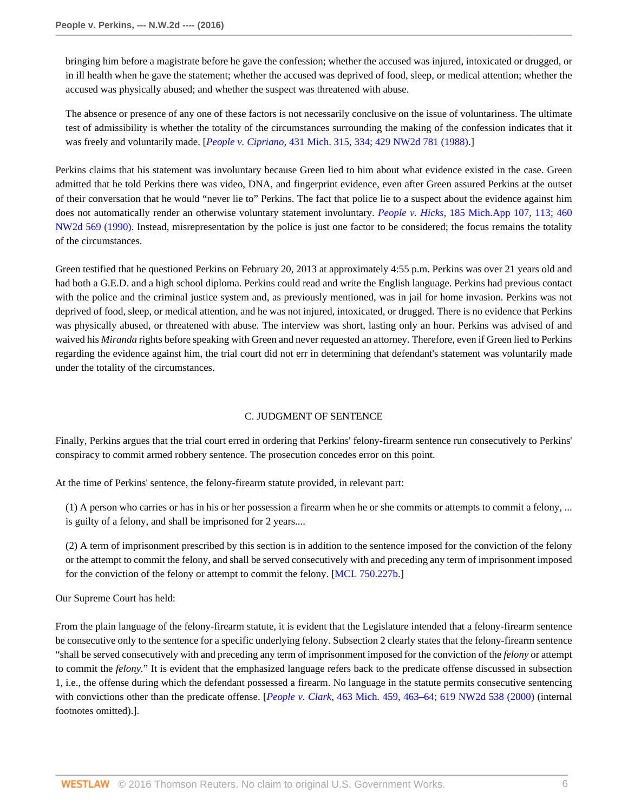bringing him before a magistrate before he gave the confession; whether the accused was injured, intoxicated or drugged, or in ill health when he gave the statement; whether the accused was deprived of food, sleep, or medical attention; whether the accused was physically abused; and whether the suspect was threatened with abuse.

The absence or presence of any one of these factors is not necessarily conclusive on the issue of voluntariness. The ultimate test of admissibility is whether the totality of the circumstances surrounding the making of the confession indicates that it was freely and voluntarily made. [*People v. Cipriano,* [431 Mich. 315, 334; 429 NW2d 781 \(1988\).](http://www.westlaw.com/Link/Document/FullText?findType=Y&serNum=1988125506&pubNum=0000595&originatingDoc=I0e673addbf7611e590d4edf60ce7d742&refType=RP&originationContext=document&vr=3.0&rs=cblt1.0&transitionType=DocumentItem&contextData=(sc.Keycite))]

Perkins claims that his statement was involuntary because Green lied to him about what evidence existed in the case. Green admitted that he told Perkins there was video, DNA, and fingerprint evidence, even after Green assured Perkins at the outset of their conversation that he would "never lie to" Perkins. The fact that police lie to a suspect about the evidence against him does not automatically render an otherwise voluntary statement involuntary. *People v. Hicks,* [185 Mich.App 107, 113; 460](http://www.westlaw.com/Link/Document/FullText?findType=Y&serNum=1990126593&pubNum=0000595&originatingDoc=I0e673addbf7611e590d4edf60ce7d742&refType=RP&originationContext=document&vr=3.0&rs=cblt1.0&transitionType=DocumentItem&contextData=(sc.Keycite)) [NW2d 569 \(1990\)](http://www.westlaw.com/Link/Document/FullText?findType=Y&serNum=1990126593&pubNum=0000595&originatingDoc=I0e673addbf7611e590d4edf60ce7d742&refType=RP&originationContext=document&vr=3.0&rs=cblt1.0&transitionType=DocumentItem&contextData=(sc.Keycite)). Instead, misrepresentation by the police is just one factor to be considered; the focus remains the totality of the circumstances.

Green testified that he questioned Perkins on February 20, 2013 at approximately 4:55 p.m. Perkins was over 21 years old and had both a G.E.D. and a high school diploma. Perkins could read and write the English language. Perkins had previous contact with the police and the criminal justice system and, as previously mentioned, was in jail for home invasion. Perkins was not deprived of food, sleep, or medical attention, and he was not injured, intoxicated, or drugged. There is no evidence that Perkins was physically abused, or threatened with abuse. The interview was short, lasting only an hour. Perkins was advised of and waived his *Miranda* rights before speaking with Green and never requested an attorney. Therefore, even if Green lied to Perkins regarding the evidence against him, the trial court did not err in determining that defendant's statement was voluntarily made under the totality of the circumstances.

## C. JUDGMENT OF SENTENCE

Finally, Perkins argues that the trial court erred in ordering that Perkins' felony-firearm sentence run consecutively to Perkins' conspiracy to commit armed robbery sentence. The prosecution concedes error on this point.

At the time of Perkins' sentence, the felony-firearm statute provided, in relevant part:

(1) A person who carries or has in his or her possession a firearm when he or she commits or attempts to commit a felony, ... is guilty of a felony, and shall be imprisoned for 2 years....

(2) A term of imprisonment prescribed by this section is in addition to the sentence imposed for the conviction of the felony or the attempt to commit the felony, and shall be served consecutively with and preceding any term of imprisonment imposed for the conviction of the felony or attempt to commit the felony. [\[MCL 750.227b](http://www.westlaw.com/Link/Document/FullText?findType=L&pubNum=1000043&cite=MIST750.227B&originatingDoc=I0e673addbf7611e590d4edf60ce7d742&refType=LQ&originationContext=document&vr=3.0&rs=cblt1.0&transitionType=DocumentItem&contextData=(sc.Keycite)).]

Our Supreme Court has held:

From the plain language of the felony-firearm statute, it is evident that the Legislature intended that a felony-firearm sentence be consecutive only to the sentence for a specific underlying felony. Subsection 2 clearly states that the felony-firearm sentence "shall be served consecutively with and preceding any term of imprisonment imposed for the conviction of the *felony* or attempt to commit the *felony.*" It is evident that the emphasized language refers back to the predicate offense discussed in subsection 1, i.e., the offense during which the defendant possessed a firearm. No language in the statute permits consecutive sentencing with convictions other than the predicate offense. [*People v. Clark,* [463 Mich. 459, 463–64; 619 NW2d 538 \(2000\)](http://www.westlaw.com/Link/Document/FullText?findType=Y&serNum=2000646146&pubNum=0000595&originatingDoc=I0e673addbf7611e590d4edf60ce7d742&refType=RP&originationContext=document&vr=3.0&rs=cblt1.0&transitionType=DocumentItem&contextData=(sc.Keycite)) (internal footnotes omitted).].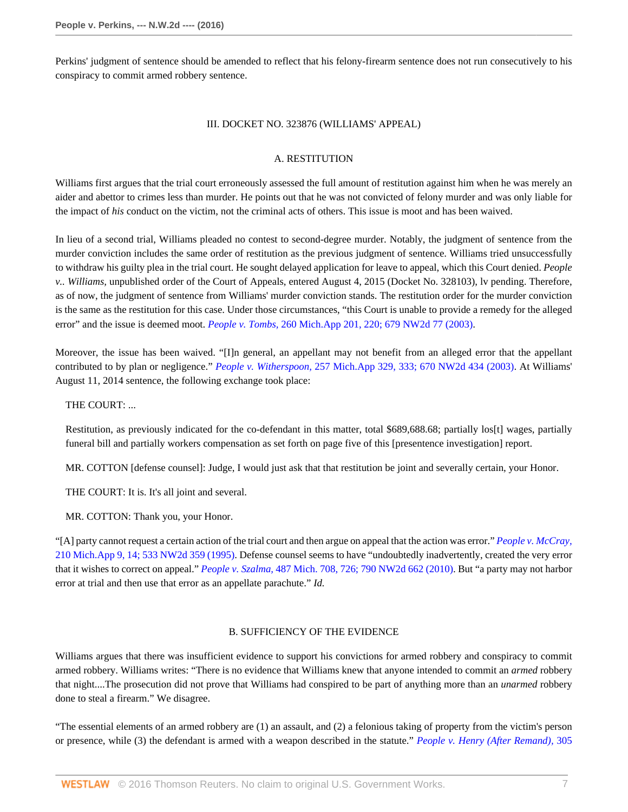Perkins' judgment of sentence should be amended to reflect that his felony-firearm sentence does not run consecutively to his conspiracy to commit armed robbery sentence.

#### III. DOCKET NO. 323876 (WILLIAMS' APPEAL)

## A. RESTITUTION

Williams first argues that the trial court erroneously assessed the full amount of restitution against him when he was merely an aider and abettor to crimes less than murder. He points out that he was not convicted of felony murder and was only liable for the impact of *his* conduct on the victim, not the criminal acts of others. This issue is moot and has been waived.

In lieu of a second trial, Williams pleaded no contest to second-degree murder. Notably, the judgment of sentence from the murder conviction includes the same order of restitution as the previous judgment of sentence. Williams tried unsuccessfully to withdraw his guilty plea in the trial court. He sought delayed application for leave to appeal, which this Court denied. *People v.. Williams,* unpublished order of the Court of Appeals, entered August 4, 2015 (Docket No. 328103), lv pending. Therefore, as of now, the judgment of sentence from Williams' murder conviction stands. The restitution order for the murder conviction is the same as the restitution for this case. Under those circumstances, "this Court is unable to provide a remedy for the alleged error" and the issue is deemed moot. *People v. Tombs,* [260 Mich.App 201, 220; 679 NW2d 77 \(2003\)](http://www.westlaw.com/Link/Document/FullText?findType=Y&serNum=2004042276&pubNum=0000595&originatingDoc=I0e673addbf7611e590d4edf60ce7d742&refType=RP&originationContext=document&vr=3.0&rs=cblt1.0&transitionType=DocumentItem&contextData=(sc.Keycite)).

Moreover, the issue has been waived. "[I]n general, an appellant may not benefit from an alleged error that the appellant contributed to by plan or negligence." *People v. Witherspoon,* [257 Mich.App 329, 333; 670 NW2d 434 \(2003\)](http://www.westlaw.com/Link/Document/FullText?findType=Y&serNum=2003455468&pubNum=0000595&originatingDoc=I0e673addbf7611e590d4edf60ce7d742&refType=RP&originationContext=document&vr=3.0&rs=cblt1.0&transitionType=DocumentItem&contextData=(sc.Keycite)). At Williams' August 11, 2014 sentence, the following exchange took place:

THE COURT: ...

Restitution, as previously indicated for the co-defendant in this matter, total \$689,688.68; partially los[t] wages, partially funeral bill and partially workers compensation as set forth on page five of this [presentence investigation] report.

MR. COTTON [defense counsel]: Judge, I would just ask that that restitution be joint and severally certain, your Honor.

THE COURT: It is. It's all joint and several.

MR. COTTON: Thank you, your Honor.

"[A] party cannot request a certain action of the trial court and then argue on appeal that the action was error." *[People v. McCray,](http://www.westlaw.com/Link/Document/FullText?findType=Y&serNum=1995097303&pubNum=0000595&originatingDoc=I0e673addbf7611e590d4edf60ce7d742&refType=RP&originationContext=document&vr=3.0&rs=cblt1.0&transitionType=DocumentItem&contextData=(sc.Keycite))* [210 Mich.App 9, 14; 533 NW2d 359 \(1995\).](http://www.westlaw.com/Link/Document/FullText?findType=Y&serNum=1995097303&pubNum=0000595&originatingDoc=I0e673addbf7611e590d4edf60ce7d742&refType=RP&originationContext=document&vr=3.0&rs=cblt1.0&transitionType=DocumentItem&contextData=(sc.Keycite)) Defense counsel seems to have "undoubtedly inadvertently, created the very error that it wishes to correct on appeal." *People v. Szalma,* [487 Mich. 708, 726; 790 NW2d 662 \(2010\).](http://www.westlaw.com/Link/Document/FullText?findType=Y&serNum=2022861666&pubNum=0000595&originatingDoc=I0e673addbf7611e590d4edf60ce7d742&refType=RP&originationContext=document&vr=3.0&rs=cblt1.0&transitionType=DocumentItem&contextData=(sc.Keycite)) But "a party may not harbor error at trial and then use that error as an appellate parachute." *Id.*

## B. SUFFICIENCY OF THE EVIDENCE

Williams argues that there was insufficient evidence to support his convictions for armed robbery and conspiracy to commit armed robbery. Williams writes: "There is no evidence that Williams knew that anyone intended to commit an *armed* robbery that night....The prosecution did not prove that Williams had conspired to be part of anything more than an *unarmed* robbery done to steal a firearm." We disagree.

"The essential elements of an armed robbery are (1) an assault, and (2) a felonious taking of property from the victim's person or presence, while (3) the defendant is armed with a weapon described in the statute." *[People v. Henry \(After Remand\),](http://www.westlaw.com/Link/Document/FullText?findType=Y&serNum=2033357005&pubNum=0000595&originatingDoc=I0e673addbf7611e590d4edf60ce7d742&refType=RP&originationContext=document&vr=3.0&rs=cblt1.0&transitionType=DocumentItem&contextData=(sc.Keycite))* 305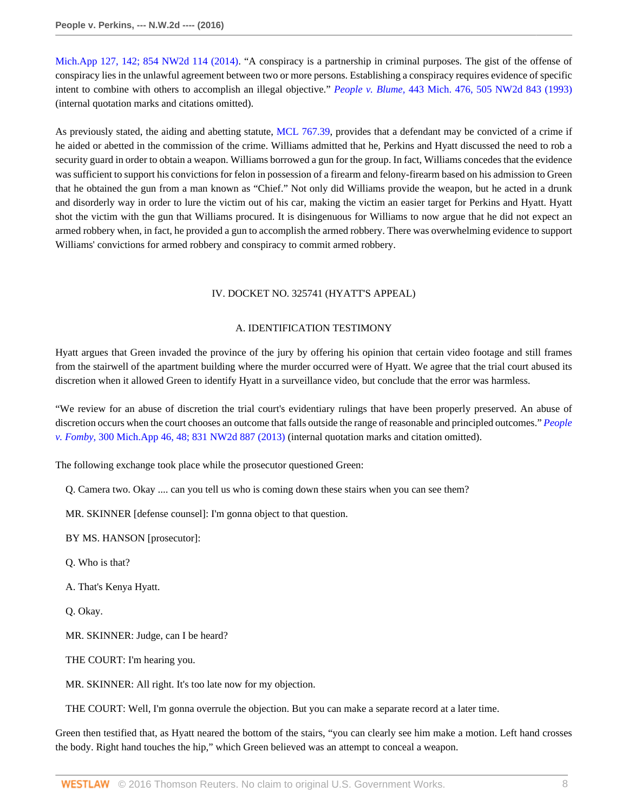[Mich.App 127, 142; 854 NW2d 114 \(2014\)](http://www.westlaw.com/Link/Document/FullText?findType=Y&serNum=2033357005&pubNum=0000595&originatingDoc=I0e673addbf7611e590d4edf60ce7d742&refType=RP&originationContext=document&vr=3.0&rs=cblt1.0&transitionType=DocumentItem&contextData=(sc.Keycite)). "A conspiracy is a partnership in criminal purposes. The gist of the offense of conspiracy lies in the unlawful agreement between two or more persons. Establishing a conspiracy requires evidence of specific intent to combine with others to accomplish an illegal objective." *People v. Blume,* [443 Mich. 476, 505 NW2d 843 \(1993\)](http://www.westlaw.com/Link/Document/FullText?findType=Y&serNum=1993189892&pubNum=0000595&originatingDoc=I0e673addbf7611e590d4edf60ce7d742&refType=RP&originationContext=document&vr=3.0&rs=cblt1.0&transitionType=DocumentItem&contextData=(sc.Keycite)) (internal quotation marks and citations omitted).

As previously stated, the aiding and abetting statute, [MCL 767.39,](http://www.westlaw.com/Link/Document/FullText?findType=L&pubNum=1000043&cite=MIST767.39&originatingDoc=I0e673addbf7611e590d4edf60ce7d742&refType=LQ&originationContext=document&vr=3.0&rs=cblt1.0&transitionType=DocumentItem&contextData=(sc.Keycite)) provides that a defendant may be convicted of a crime if he aided or abetted in the commission of the crime. Williams admitted that he, Perkins and Hyatt discussed the need to rob a security guard in order to obtain a weapon. Williams borrowed a gun for the group. In fact, Williams concedes that the evidence was sufficient to support his convictions for felon in possession of a firearm and felony-firearm based on his admission to Green that he obtained the gun from a man known as "Chief." Not only did Williams provide the weapon, but he acted in a drunk and disorderly way in order to lure the victim out of his car, making the victim an easier target for Perkins and Hyatt. Hyatt shot the victim with the gun that Williams procured. It is disingenuous for Williams to now argue that he did not expect an armed robbery when, in fact, he provided a gun to accomplish the armed robbery. There was overwhelming evidence to support Williams' convictions for armed robbery and conspiracy to commit armed robbery.

## IV. DOCKET NO. 325741 (HYATT'S APPEAL)

### A. IDENTIFICATION TESTIMONY

Hyatt argues that Green invaded the province of the jury by offering his opinion that certain video footage and still frames from the stairwell of the apartment building where the murder occurred were of Hyatt. We agree that the trial court abused its discretion when it allowed Green to identify Hyatt in a surveillance video, but conclude that the error was harmless.

"We review for an abuse of discretion the trial court's evidentiary rulings that have been properly preserved. An abuse of discretion occurs when the court chooses an outcome that falls outside the range of reasonable and principled outcomes." *[People](http://www.westlaw.com/Link/Document/FullText?findType=Y&serNum=2030180393&pubNum=0000595&originatingDoc=I0e673addbf7611e590d4edf60ce7d742&refType=RP&originationContext=document&vr=3.0&rs=cblt1.0&transitionType=DocumentItem&contextData=(sc.Keycite)) v. Fomby,* [300 Mich.App 46, 48; 831 NW2d 887 \(2013\)](http://www.westlaw.com/Link/Document/FullText?findType=Y&serNum=2030180393&pubNum=0000595&originatingDoc=I0e673addbf7611e590d4edf60ce7d742&refType=RP&originationContext=document&vr=3.0&rs=cblt1.0&transitionType=DocumentItem&contextData=(sc.Keycite)) (internal quotation marks and citation omitted).

The following exchange took place while the prosecutor questioned Green:

Q. Camera two. Okay .... can you tell us who is coming down these stairs when you can see them?

MR. SKINNER [defense counsel]: I'm gonna object to that question.

BY MS. HANSON [prosecutor]:

Q. Who is that?

A. That's Kenya Hyatt.

Q. Okay.

MR. SKINNER: Judge, can I be heard?

THE COURT: I'm hearing you.

MR. SKINNER: All right. It's too late now for my objection.

THE COURT: Well, I'm gonna overrule the objection. But you can make a separate record at a later time.

Green then testified that, as Hyatt neared the bottom of the stairs, "you can clearly see him make a motion. Left hand crosses the body. Right hand touches the hip," which Green believed was an attempt to conceal a weapon.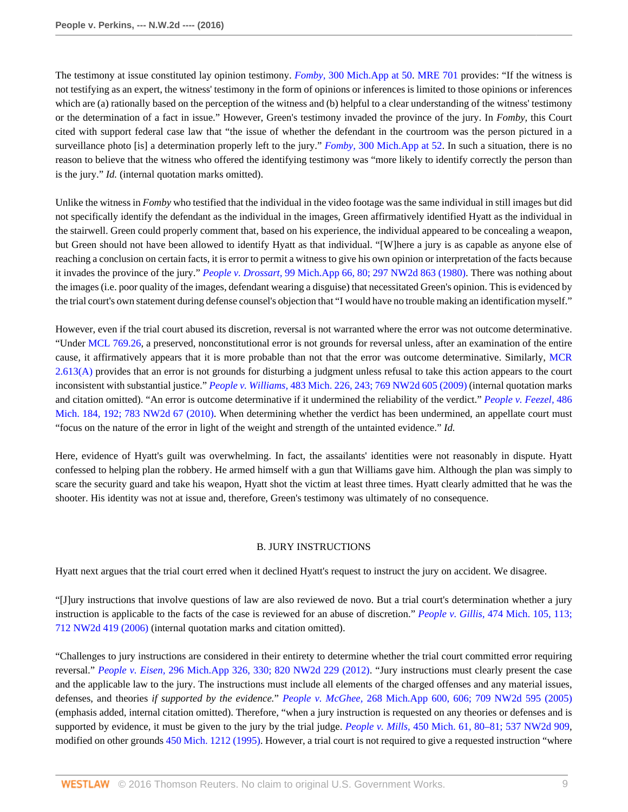The testimony at issue constituted lay opinion testimony. *Fomby,* [300 Mich.App at 50.](http://www.westlaw.com/Link/Document/FullText?findType=Y&serNum=2030180393&pubNum=0000543&originatingDoc=I0e673addbf7611e590d4edf60ce7d742&refType=RP&fi=co_pp_sp_543_50&originationContext=document&vr=3.0&rs=cblt1.0&transitionType=DocumentItem&contextData=(sc.Keycite)#co_pp_sp_543_50) [MRE 701](http://www.westlaw.com/Link/Document/FullText?findType=L&pubNum=1005483&cite=MIRREVMRE701&originatingDoc=I0e673addbf7611e590d4edf60ce7d742&refType=LQ&originationContext=document&vr=3.0&rs=cblt1.0&transitionType=DocumentItem&contextData=(sc.Keycite)) provides: "If the witness is not testifying as an expert, the witness' testimony in the form of opinions or inferences is limited to those opinions or inferences which are (a) rationally based on the perception of the witness and (b) helpful to a clear understanding of the witness' testimony or the determination of a fact in issue." However, Green's testimony invaded the province of the jury. In *Fomby,* this Court cited with support federal case law that "the issue of whether the defendant in the courtroom was the person pictured in a surveillance photo [is] a determination properly left to the jury." *Fomby,* [300 Mich.App at 52](http://www.westlaw.com/Link/Document/FullText?findType=Y&serNum=2030180393&pubNum=0000543&originatingDoc=I0e673addbf7611e590d4edf60ce7d742&refType=RP&fi=co_pp_sp_543_52&originationContext=document&vr=3.0&rs=cblt1.0&transitionType=DocumentItem&contextData=(sc.Keycite)#co_pp_sp_543_52). In such a situation, there is no reason to believe that the witness who offered the identifying testimony was "more likely to identify correctly the person than is the jury." *Id.* (internal quotation marks omitted).

Unlike the witness in *Fomby* who testified that the individual in the video footage was the same individual in still images but did not specifically identify the defendant as the individual in the images, Green affirmatively identified Hyatt as the individual in the stairwell. Green could properly comment that, based on his experience, the individual appeared to be concealing a weapon, but Green should not have been allowed to identify Hyatt as that individual. "[W]here a jury is as capable as anyone else of reaching a conclusion on certain facts, it is error to permit a witness to give his own opinion or interpretation of the facts because it invades the province of the jury." *People v. Drossart,* [99 Mich.App 66, 80; 297 NW2d 863 \(1980\)](http://www.westlaw.com/Link/Document/FullText?findType=Y&serNum=1980145063&pubNum=0000595&originatingDoc=I0e673addbf7611e590d4edf60ce7d742&refType=RP&originationContext=document&vr=3.0&rs=cblt1.0&transitionType=DocumentItem&contextData=(sc.Keycite)). There was nothing about the images (i.e. poor quality of the images, defendant wearing a disguise) that necessitated Green's opinion. This is evidenced by the trial court's own statement during defense counsel's objection that "I would have no trouble making an identification myself."

However, even if the trial court abused its discretion, reversal is not warranted where the error was not outcome determinative. "Under [MCL 769.26,](http://www.westlaw.com/Link/Document/FullText?findType=L&pubNum=1000043&cite=MIST769.26&originatingDoc=I0e673addbf7611e590d4edf60ce7d742&refType=LQ&originationContext=document&vr=3.0&rs=cblt1.0&transitionType=DocumentItem&contextData=(sc.Keycite)) a preserved, nonconstitutional error is not grounds for reversal unless, after an examination of the entire cause, it affirmatively appears that it is more probable than not that the error was outcome determinative. Similarly, [MCR](http://www.westlaw.com/Link/Document/FullText?findType=L&pubNum=1005474&cite=MIRRCPMCR2.613&originatingDoc=I0e673addbf7611e590d4edf60ce7d742&refType=LQ&originationContext=document&vr=3.0&rs=cblt1.0&transitionType=DocumentItem&contextData=(sc.Keycite)) [2.613\(A\)](http://www.westlaw.com/Link/Document/FullText?findType=L&pubNum=1005474&cite=MIRRCPMCR2.613&originatingDoc=I0e673addbf7611e590d4edf60ce7d742&refType=LQ&originationContext=document&vr=3.0&rs=cblt1.0&transitionType=DocumentItem&contextData=(sc.Keycite)) provides that an error is not grounds for disturbing a judgment unless refusal to take this action appears to the court inconsistent with substantial justice." *People v. Williams,* [483 Mich. 226, 243; 769 NW2d 605 \(2009\)](http://www.westlaw.com/Link/Document/FullText?findType=Y&serNum=2019338467&pubNum=0000595&originatingDoc=I0e673addbf7611e590d4edf60ce7d742&refType=RP&originationContext=document&vr=3.0&rs=cblt1.0&transitionType=DocumentItem&contextData=(sc.Keycite)) (internal quotation marks and citation omitted). "An error is outcome determinative if it undermined the reliability of the verdict." *[People v. Feezel,](http://www.westlaw.com/Link/Document/FullText?findType=Y&serNum=2022263804&pubNum=0000595&originatingDoc=I0e673addbf7611e590d4edf60ce7d742&refType=RP&originationContext=document&vr=3.0&rs=cblt1.0&transitionType=DocumentItem&contextData=(sc.Keycite))* 486 [Mich. 184, 192; 783 NW2d 67 \(2010\)](http://www.westlaw.com/Link/Document/FullText?findType=Y&serNum=2022263804&pubNum=0000595&originatingDoc=I0e673addbf7611e590d4edf60ce7d742&refType=RP&originationContext=document&vr=3.0&rs=cblt1.0&transitionType=DocumentItem&contextData=(sc.Keycite)). When determining whether the verdict has been undermined, an appellate court must "focus on the nature of the error in light of the weight and strength of the untainted evidence." *Id.*

Here, evidence of Hyatt's guilt was overwhelming. In fact, the assailants' identities were not reasonably in dispute. Hyatt confessed to helping plan the robbery. He armed himself with a gun that Williams gave him. Although the plan was simply to scare the security guard and take his weapon, Hyatt shot the victim at least three times. Hyatt clearly admitted that he was the shooter. His identity was not at issue and, therefore, Green's testimony was ultimately of no consequence.

#### B. JURY INSTRUCTIONS

Hyatt next argues that the trial court erred when it declined Hyatt's request to instruct the jury on accident. We disagree.

"[J]ury instructions that involve questions of law are also reviewed de novo. But a trial court's determination whether a jury instruction is applicable to the facts of the case is reviewed for an abuse of discretion." *People v. Gillis,* [474 Mich. 105, 113;](http://www.westlaw.com/Link/Document/FullText?findType=Y&serNum=2008880319&pubNum=0000595&originatingDoc=I0e673addbf7611e590d4edf60ce7d742&refType=RP&originationContext=document&vr=3.0&rs=cblt1.0&transitionType=DocumentItem&contextData=(sc.Keycite)) [712 NW2d 419 \(2006\)](http://www.westlaw.com/Link/Document/FullText?findType=Y&serNum=2008880319&pubNum=0000595&originatingDoc=I0e673addbf7611e590d4edf60ce7d742&refType=RP&originationContext=document&vr=3.0&rs=cblt1.0&transitionType=DocumentItem&contextData=(sc.Keycite)) (internal quotation marks and citation omitted).

"Challenges to jury instructions are considered in their entirety to determine whether the trial court committed error requiring reversal." *People v. Eisen,* [296 Mich.App 326, 330; 820 NW2d 229 \(2012\).](http://www.westlaw.com/Link/Document/FullText?findType=Y&serNum=2027562203&pubNum=0000595&originatingDoc=I0e673addbf7611e590d4edf60ce7d742&refType=RP&originationContext=document&vr=3.0&rs=cblt1.0&transitionType=DocumentItem&contextData=(sc.Keycite)) "Jury instructions must clearly present the case and the applicable law to the jury. The instructions must include all elements of the charged offenses and any material issues, defenses, and theories *if supported by the evidence.*" *People v. McGhee,* [268 Mich.App 600, 606; 709 NW2d 595 \(2005\)](http://www.westlaw.com/Link/Document/FullText?findType=Y&serNum=2007666208&pubNum=0000595&originatingDoc=I0e673addbf7611e590d4edf60ce7d742&refType=RP&originationContext=document&vr=3.0&rs=cblt1.0&transitionType=DocumentItem&contextData=(sc.Keycite)) (emphasis added, internal citation omitted). Therefore, "when a jury instruction is requested on any theories or defenses and is supported by evidence, it must be given to the jury by the trial judge. *People v. Mills,* [450 Mich. 61, 80–81; 537 NW2d 909](http://www.westlaw.com/Link/Document/FullText?findType=Y&serNum=1995195600&pubNum=0000595&originatingDoc=I0e673addbf7611e590d4edf60ce7d742&refType=RP&originationContext=document&vr=3.0&rs=cblt1.0&transitionType=DocumentItem&contextData=(sc.Keycite)), modified on other grounds [450 Mich. 1212 \(1995\).](http://www.westlaw.com/Link/Document/FullText?findType=Y&serNum=1995203389&pubNum=0000542&originatingDoc=I0e673addbf7611e590d4edf60ce7d742&refType=RP&originationContext=document&vr=3.0&rs=cblt1.0&transitionType=DocumentItem&contextData=(sc.Keycite)) However, a trial court is not required to give a requested instruction "where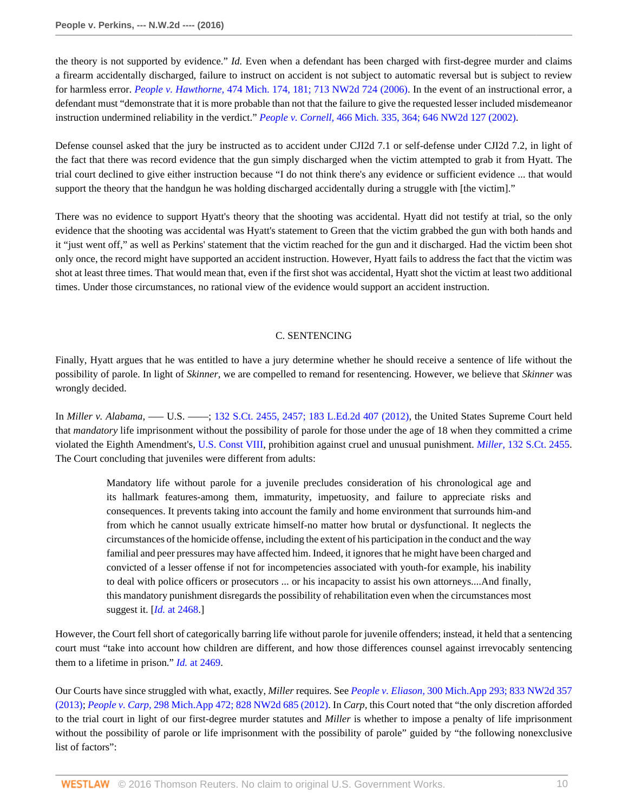the theory is not supported by evidence." *Id.* Even when a defendant has been charged with first-degree murder and claims a firearm accidentally discharged, failure to instruct on accident is not subject to automatic reversal but is subject to review for harmless error. *People v. Hawthorne,* [474 Mich. 174, 181; 713 NW2d 724 \(2006\).](http://www.westlaw.com/Link/Document/FullText?findType=Y&serNum=2009149989&pubNum=0000595&originatingDoc=I0e673addbf7611e590d4edf60ce7d742&refType=RP&originationContext=document&vr=3.0&rs=cblt1.0&transitionType=DocumentItem&contextData=(sc.Keycite)) In the event of an instructional error, a defendant must "demonstrate that it is more probable than not that the failure to give the requested lesser included misdemeanor instruction undermined reliability in the verdict." *People v. Cornell,* [466 Mich. 335, 364; 646 NW2d 127 \(2002\)](http://www.westlaw.com/Link/Document/FullText?findType=Y&serNum=2002380403&pubNum=0000595&originatingDoc=I0e673addbf7611e590d4edf60ce7d742&refType=RP&originationContext=document&vr=3.0&rs=cblt1.0&transitionType=DocumentItem&contextData=(sc.Keycite)).

Defense counsel asked that the jury be instructed as to accident under CJI2d 7.1 or self-defense under CJI2d 7.2, in light of the fact that there was record evidence that the gun simply discharged when the victim attempted to grab it from Hyatt. The trial court declined to give either instruction because "I do not think there's any evidence or sufficient evidence ... that would support the theory that the handgun he was holding discharged accidentally during a struggle with [the victim]."

There was no evidence to support Hyatt's theory that the shooting was accidental. Hyatt did not testify at trial, so the only evidence that the shooting was accidental was Hyatt's statement to Green that the victim grabbed the gun with both hands and it "just went off," as well as Perkins' statement that the victim reached for the gun and it discharged. Had the victim been shot only once, the record might have supported an accident instruction. However, Hyatt fails to address the fact that the victim was shot at least three times. That would mean that, even if the first shot was accidental, Hyatt shot the victim at least two additional times. Under those circumstances, no rational view of the evidence would support an accident instruction.

## C. SENTENCING

Finally, Hyatt argues that he was entitled to have a jury determine whether he should receive a sentence of life without the possibility of parole. In light of *Skinner,* we are compelled to remand for resentencing. However, we believe that *Skinner* was wrongly decided.

In *Miller v. Alabama,* — U.S. — ; [132 S.Ct. 2455, 2457; 183 L.Ed.2d 407 \(2012\),](http://www.westlaw.com/Link/Document/FullText?findType=Y&serNum=2027964006&pubNum=0000708&originatingDoc=I0e673addbf7611e590d4edf60ce7d742&refType=RP&fi=co_pp_sp_708_2457&originationContext=document&vr=3.0&rs=cblt1.0&transitionType=DocumentItem&contextData=(sc.Keycite)#co_pp_sp_708_2457) the United States Supreme Court held that *mandatory* life imprisonment without the possibility of parole for those under the age of 18 when they committed a crime violated the Eighth Amendment's, [U.S. Const VIII,](http://www.westlaw.com/Link/Document/FullText?findType=L&pubNum=1000583&cite=USCOAMENDVIII&originatingDoc=I0e673addbf7611e590d4edf60ce7d742&refType=LQ&originationContext=document&vr=3.0&rs=cblt1.0&transitionType=DocumentItem&contextData=(sc.Keycite)) prohibition against cruel and unusual punishment. *Miller,* [132 S.Ct. 2455](http://www.westlaw.com/Link/Document/FullText?findType=Y&serNum=2027964006&pubNum=0000708&originatingDoc=I0e673addbf7611e590d4edf60ce7d742&refType=RP&originationContext=document&vr=3.0&rs=cblt1.0&transitionType=DocumentItem&contextData=(sc.Keycite)). The Court concluding that juveniles were different from adults:

> Mandatory life without parole for a juvenile precludes consideration of his chronological age and its hallmark features-among them, immaturity, impetuosity, and failure to appreciate risks and consequences. It prevents taking into account the family and home environment that surrounds him-and from which he cannot usually extricate himself-no matter how brutal or dysfunctional. It neglects the circumstances of the homicide offense, including the extent of his participation in the conduct and the way familial and peer pressures may have affected him. Indeed, it ignores that he might have been charged and convicted of a lesser offense if not for incompetencies associated with youth-for example, his inability to deal with police officers or prosecutors ... or his incapacity to assist his own attorneys....And finally, this mandatory punishment disregards the possibility of rehabilitation even when the circumstances most suggest it. [*Id.* [at 2468](http://www.westlaw.com/Link/Document/FullText?findType=Y&serNum=2027964006&pubNum=0000708&originatingDoc=I0e673addbf7611e590d4edf60ce7d742&refType=RP&fi=co_pp_sp_708_2468&originationContext=document&vr=3.0&rs=cblt1.0&transitionType=DocumentItem&contextData=(sc.Keycite)#co_pp_sp_708_2468).]

However, the Court fell short of categorically barring life without parole for juvenile offenders; instead, it held that a sentencing court must "take into account how children are different, and how those differences counsel against irrevocably sentencing them to a lifetime in prison." *Id.* [at 2469](http://www.westlaw.com/Link/Document/FullText?findType=Y&serNum=2027964006&pubNum=0000708&originatingDoc=I0e673addbf7611e590d4edf60ce7d742&refType=RP&fi=co_pp_sp_708_2469&originationContext=document&vr=3.0&rs=cblt1.0&transitionType=DocumentItem&contextData=(sc.Keycite)#co_pp_sp_708_2469).

Our Courts have since struggled with what, exactly, *Miller* requires. See *People v. Eliason,* [300 Mich.App 293; 833 NW2d 357](http://www.westlaw.com/Link/Document/FullText?findType=Y&serNum=2030308061&pubNum=0000595&originatingDoc=I0e673addbf7611e590d4edf60ce7d742&refType=RP&originationContext=document&vr=3.0&rs=cblt1.0&transitionType=DocumentItem&contextData=(sc.Keycite)) [\(2013\);](http://www.westlaw.com/Link/Document/FullText?findType=Y&serNum=2030308061&pubNum=0000595&originatingDoc=I0e673addbf7611e590d4edf60ce7d742&refType=RP&originationContext=document&vr=3.0&rs=cblt1.0&transitionType=DocumentItem&contextData=(sc.Keycite)) *People v. Carp,* [298 Mich.App 472; 828 NW2d 685 \(2012\)](http://www.westlaw.com/Link/Document/FullText?findType=Y&serNum=2029230120&pubNum=0000595&originatingDoc=I0e673addbf7611e590d4edf60ce7d742&refType=RP&originationContext=document&vr=3.0&rs=cblt1.0&transitionType=DocumentItem&contextData=(sc.Keycite)). In *Carp,* this Court noted that "the only discretion afforded to the trial court in light of our first-degree murder statutes and *Miller* is whether to impose a penalty of life imprisonment without the possibility of parole or life imprisonment with the possibility of parole" guided by "the following nonexclusive list of factors":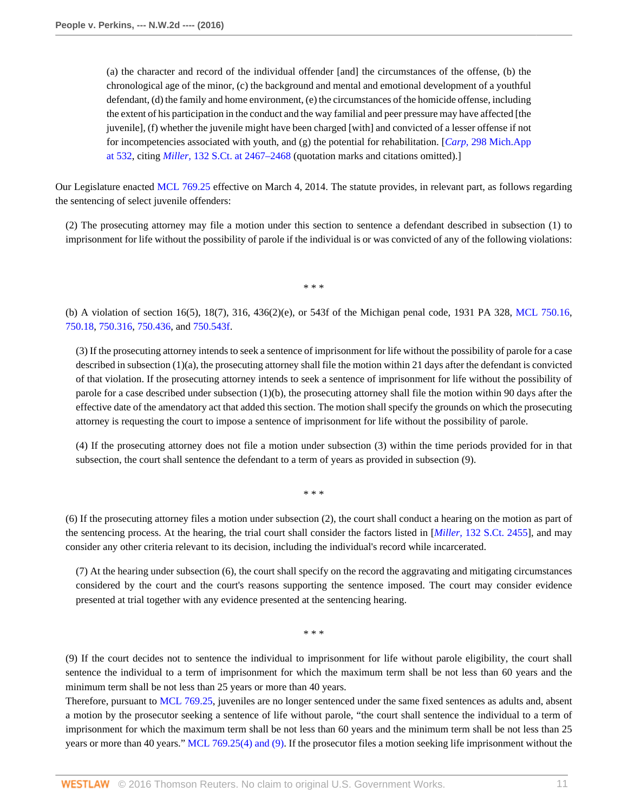(a) the character and record of the individual offender [and] the circumstances of the offense, (b) the chronological age of the minor, (c) the background and mental and emotional development of a youthful defendant, (d) the family and home environment, (e) the circumstances of the homicide offense, including the extent of his participation in the conduct and the way familial and peer pressure may have affected [the juvenile], (f) whether the juvenile might have been charged [with] and convicted of a lesser offense if not for incompetencies associated with youth, and (g) the potential for rehabilitation. [*Carp,* [298 Mich.App](http://www.westlaw.com/Link/Document/FullText?findType=Y&serNum=2029230120&pubNum=0000543&originatingDoc=I0e673addbf7611e590d4edf60ce7d742&refType=RP&fi=co_pp_sp_543_532&originationContext=document&vr=3.0&rs=cblt1.0&transitionType=DocumentItem&contextData=(sc.Keycite)#co_pp_sp_543_532) [at 532,](http://www.westlaw.com/Link/Document/FullText?findType=Y&serNum=2029230120&pubNum=0000543&originatingDoc=I0e673addbf7611e590d4edf60ce7d742&refType=RP&fi=co_pp_sp_543_532&originationContext=document&vr=3.0&rs=cblt1.0&transitionType=DocumentItem&contextData=(sc.Keycite)#co_pp_sp_543_532) citing *Miller,* [132 S.Ct. at 2467–2468](http://www.westlaw.com/Link/Document/FullText?findType=Y&serNum=2027964006&pubNum=0000708&originatingDoc=I0e673addbf7611e590d4edf60ce7d742&refType=RP&fi=co_pp_sp_708_2467&originationContext=document&vr=3.0&rs=cblt1.0&transitionType=DocumentItem&contextData=(sc.Keycite)#co_pp_sp_708_2467) (quotation marks and citations omitted).]

Our Legislature enacted [MCL 769.25](http://www.westlaw.com/Link/Document/FullText?findType=L&pubNum=1000043&cite=MIST769.25&originatingDoc=I0e673addbf7611e590d4edf60ce7d742&refType=LQ&originationContext=document&vr=3.0&rs=cblt1.0&transitionType=DocumentItem&contextData=(sc.Keycite)) effective on March 4, 2014. The statute provides, in relevant part, as follows regarding the sentencing of select juvenile offenders:

(2) The prosecuting attorney may file a motion under this section to sentence a defendant described in subsection (1) to imprisonment for life without the possibility of parole if the individual is or was convicted of any of the following violations:

\* \* \*

(b) A violation of section 16(5), 18(7), 316, 436(2)(e), or 543f of the Michigan penal code, 1931 PA 328, [MCL 750.16](http://www.westlaw.com/Link/Document/FullText?findType=L&pubNum=1000043&cite=MIST750.16&originatingDoc=I0e673addbf7611e590d4edf60ce7d742&refType=LQ&originationContext=document&vr=3.0&rs=cblt1.0&transitionType=DocumentItem&contextData=(sc.Keycite)), [750.18,](http://www.westlaw.com/Link/Document/FullText?findType=L&pubNum=1000043&cite=MIST750.18&originatingDoc=I0e673addbf7611e590d4edf60ce7d742&refType=LQ&originationContext=document&vr=3.0&rs=cblt1.0&transitionType=DocumentItem&contextData=(sc.Keycite)) [750.316](http://www.westlaw.com/Link/Document/FullText?findType=L&pubNum=1000043&cite=MIST750.316&originatingDoc=I0e673addbf7611e590d4edf60ce7d742&refType=LQ&originationContext=document&vr=3.0&rs=cblt1.0&transitionType=DocumentItem&contextData=(sc.Keycite)), [750.436](http://www.westlaw.com/Link/Document/FullText?findType=L&pubNum=1000043&cite=MIST750.436&originatingDoc=I0e673addbf7611e590d4edf60ce7d742&refType=LQ&originationContext=document&vr=3.0&rs=cblt1.0&transitionType=DocumentItem&contextData=(sc.Keycite)), and [750.543f](http://www.westlaw.com/Link/Document/FullText?findType=L&pubNum=1000043&cite=MIST750.543F&originatingDoc=I0e673addbf7611e590d4edf60ce7d742&refType=LQ&originationContext=document&vr=3.0&rs=cblt1.0&transitionType=DocumentItem&contextData=(sc.Keycite)).

(3) If the prosecuting attorney intends to seek a sentence of imprisonment for life without the possibility of parole for a case described in subsection (1)(a), the prosecuting attorney shall file the motion within 21 days after the defendant is convicted of that violation. If the prosecuting attorney intends to seek a sentence of imprisonment for life without the possibility of parole for a case described under subsection (1)(b), the prosecuting attorney shall file the motion within 90 days after the effective date of the amendatory act that added this section. The motion shall specify the grounds on which the prosecuting attorney is requesting the court to impose a sentence of imprisonment for life without the possibility of parole.

(4) If the prosecuting attorney does not file a motion under subsection (3) within the time periods provided for in that subsection, the court shall sentence the defendant to a term of years as provided in subsection (9).

(6) If the prosecuting attorney files a motion under subsection (2), the court shall conduct a hearing on the motion as part of the sentencing process. At the hearing, the trial court shall consider the factors listed in [*Miller,* [132 S.Ct. 2455\]](http://www.westlaw.com/Link/Document/FullText?findType=Y&serNum=2027964006&pubNum=0000708&originatingDoc=I0e673addbf7611e590d4edf60ce7d742&refType=RP&originationContext=document&vr=3.0&rs=cblt1.0&transitionType=DocumentItem&contextData=(sc.Keycite)), and may consider any other criteria relevant to its decision, including the individual's record while incarcerated.

\* \* \*

(7) At the hearing under subsection (6), the court shall specify on the record the aggravating and mitigating circumstances considered by the court and the court's reasons supporting the sentence imposed. The court may consider evidence presented at trial together with any evidence presented at the sentencing hearing.

\* \* \*

(9) If the court decides not to sentence the individual to imprisonment for life without parole eligibility, the court shall sentence the individual to a term of imprisonment for which the maximum term shall be not less than 60 years and the minimum term shall be not less than 25 years or more than 40 years.

Therefore, pursuant to [MCL 769.25](http://www.westlaw.com/Link/Document/FullText?findType=L&pubNum=1000043&cite=MIST769.25&originatingDoc=I0e673addbf7611e590d4edf60ce7d742&refType=LQ&originationContext=document&vr=3.0&rs=cblt1.0&transitionType=DocumentItem&contextData=(sc.Keycite)), juveniles are no longer sentenced under the same fixed sentences as adults and, absent a motion by the prosecutor seeking a sentence of life without parole, "the court shall sentence the individual to a term of imprisonment for which the maximum term shall be not less than 60 years and the minimum term shall be not less than 25 years or more than 40 years." [MCL 769.25\(4\) and \(9\).](http://www.westlaw.com/Link/Document/FullText?findType=L&pubNum=1000043&cite=MIST769.25&originatingDoc=I0e673addbf7611e590d4edf60ce7d742&refType=LQ&originationContext=document&vr=3.0&rs=cblt1.0&transitionType=DocumentItem&contextData=(sc.Keycite)) If the prosecutor files a motion seeking life imprisonment without the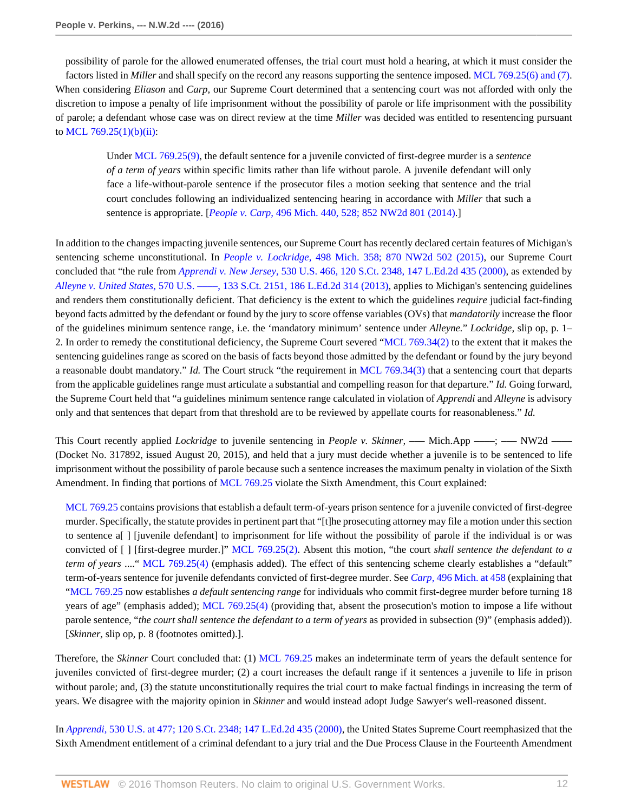possibility of parole for the allowed enumerated offenses, the trial court must hold a hearing, at which it must consider the factors listed in *Miller* and shall specify on the record any reasons supporting the sentence imposed. [MCL 769.25\(6\) and \(7\).](http://www.westlaw.com/Link/Document/FullText?findType=L&pubNum=1000043&cite=MIST769.25&originatingDoc=I0e673addbf7611e590d4edf60ce7d742&refType=LQ&originationContext=document&vr=3.0&rs=cblt1.0&transitionType=DocumentItem&contextData=(sc.Keycite)) When considering *Eliason* and *Carp,* our Supreme Court determined that a sentencing court was not afforded with only the discretion to impose a penalty of life imprisonment without the possibility of parole or life imprisonment with the possibility of parole; a defendant whose case was on direct review at the time *Miller* was decided was entitled to resentencing pursuant to MCL 769.25 $(1)(b)(ii)$ :

Under [MCL 769.25\(9\),](http://www.westlaw.com/Link/Document/FullText?findType=L&pubNum=1000043&cite=MIST769.25&originatingDoc=I0e673addbf7611e590d4edf60ce7d742&refType=LQ&originationContext=document&vr=3.0&rs=cblt1.0&transitionType=DocumentItem&contextData=(sc.Keycite)) the default sentence for a juvenile convicted of first-degree murder is a *sentence of a term of years* within specific limits rather than life without parole. A juvenile defendant will only face a life-without-parole sentence if the prosecutor files a motion seeking that sentence and the trial court concludes following an individualized sentencing hearing in accordance with *Miller* that such a sentence is appropriate. [*People v. Carp,* [496 Mich. 440, 528; 852 NW2d 801 \(2014\).](http://www.westlaw.com/Link/Document/FullText?findType=Y&serNum=2033796369&pubNum=0000595&originatingDoc=I0e673addbf7611e590d4edf60ce7d742&refType=RP&originationContext=document&vr=3.0&rs=cblt1.0&transitionType=DocumentItem&contextData=(sc.Keycite))]

In addition to the changes impacting juvenile sentences, our Supreme Court has recently declared certain features of Michigan's sentencing scheme unconstitutional. In *People v. Lockridge,* [498 Mich. 358; 870 NW2d 502 \(2015\),](http://www.westlaw.com/Link/Document/FullText?findType=Y&serNum=2036787387&pubNum=0000595&originatingDoc=I0e673addbf7611e590d4edf60ce7d742&refType=RP&originationContext=document&vr=3.0&rs=cblt1.0&transitionType=DocumentItem&contextData=(sc.Keycite)) our Supreme Court concluded that "the rule from *Apprendi v. New Jersey,* [530 U.S. 466, 120 S.Ct. 2348, 147 L.Ed.2d 435 \(2000\),](http://www.westlaw.com/Link/Document/FullText?findType=Y&serNum=2000387238&pubNum=0000708&originatingDoc=I0e673addbf7611e590d4edf60ce7d742&refType=RP&originationContext=document&vr=3.0&rs=cblt1.0&transitionType=DocumentItem&contextData=(sc.Keycite)) as extended by *Alleyne v. United States,* [570 U.S. ––––, 133 S.Ct. 2151, 186 L.Ed.2d 314 \(2013\),](http://www.westlaw.com/Link/Document/FullText?findType=Y&serNum=2030794220&pubNum=0000708&originatingDoc=I0e673addbf7611e590d4edf60ce7d742&refType=RP&originationContext=document&vr=3.0&rs=cblt1.0&transitionType=DocumentItem&contextData=(sc.Keycite)) applies to Michigan's sentencing guidelines and renders them constitutionally deficient. That deficiency is the extent to which the guidelines *require* judicial fact-finding beyond facts admitted by the defendant or found by the jury to score offense variables (OVs) that *mandatorily* increase the floor of the guidelines minimum sentence range, i.e. the 'mandatory minimum' sentence under *Alleyne.*" *Lockridge,* slip op, p. 1– 2. In order to remedy the constitutional deficiency, the Supreme Court severed "[MCL 769.34\(2\)](http://www.westlaw.com/Link/Document/FullText?findType=L&pubNum=1000043&cite=MIST769.34&originatingDoc=I0e673addbf7611e590d4edf60ce7d742&refType=LQ&originationContext=document&vr=3.0&rs=cblt1.0&transitionType=DocumentItem&contextData=(sc.Keycite)) to the extent that it makes the sentencing guidelines range as scored on the basis of facts beyond those admitted by the defendant or found by the jury beyond a reasonable doubt mandatory." *Id.* The Court struck "the requirement in [MCL 769.34\(3\)](http://www.westlaw.com/Link/Document/FullText?findType=L&pubNum=1000043&cite=MIST769.34&originatingDoc=I0e673addbf7611e590d4edf60ce7d742&refType=LQ&originationContext=document&vr=3.0&rs=cblt1.0&transitionType=DocumentItem&contextData=(sc.Keycite)) that a sentencing court that departs from the applicable guidelines range must articulate a substantial and compelling reason for that departure." *Id.* Going forward, the Supreme Court held that "a guidelines minimum sentence range calculated in violation of *Apprendi* and *Alleyne* is advisory only and that sentences that depart from that threshold are to be reviewed by appellate courts for reasonableness." *Id.*

This Court recently applied *Lockridge* to juvenile sentencing in *People v. Skinner*, — Mich.App —–; — NW2d — (Docket No. 317892, issued August 20, 2015), and held that a jury must decide whether a juvenile is to be sentenced to life imprisonment without the possibility of parole because such a sentence increases the maximum penalty in violation of the Sixth Amendment. In finding that portions of [MCL 769.25](http://www.westlaw.com/Link/Document/FullText?findType=L&pubNum=1000043&cite=MIST769.25&originatingDoc=I0e673addbf7611e590d4edf60ce7d742&refType=LQ&originationContext=document&vr=3.0&rs=cblt1.0&transitionType=DocumentItem&contextData=(sc.Keycite)) violate the Sixth Amendment, this Court explained:

[MCL 769.25](http://www.westlaw.com/Link/Document/FullText?findType=L&pubNum=1000043&cite=MIST769.25&originatingDoc=I0e673addbf7611e590d4edf60ce7d742&refType=LQ&originationContext=document&vr=3.0&rs=cblt1.0&transitionType=DocumentItem&contextData=(sc.Keycite)) contains provisions that establish a default term-of-years prison sentence for a juvenile convicted of first-degree murder. Specifically, the statute provides in pertinent part that "[t]he prosecuting attorney may file a motion under this section to sentence a[ ] [juvenile defendant] to imprisonment for life without the possibility of parole if the individual is or was convicted of [ ] [first-degree murder.]" [MCL 769.25\(2\)](http://www.westlaw.com/Link/Document/FullText?findType=L&pubNum=1000043&cite=MIST769.25&originatingDoc=I0e673addbf7611e590d4edf60ce7d742&refType=LQ&originationContext=document&vr=3.0&rs=cblt1.0&transitionType=DocumentItem&contextData=(sc.Keycite)). Absent this motion, "the court *shall sentence the defendant to a term of years* ...." [MCL 769.25\(4\)](http://www.westlaw.com/Link/Document/FullText?findType=L&pubNum=1000043&cite=MIST769.25&originatingDoc=I0e673addbf7611e590d4edf60ce7d742&refType=LQ&originationContext=document&vr=3.0&rs=cblt1.0&transitionType=DocumentItem&contextData=(sc.Keycite)) (emphasis added). The effect of this sentencing scheme clearly establishes a "default" term-of-years sentence for juvenile defendants convicted of first-degree murder. See *Carp,* [496 Mich. at 458](http://www.westlaw.com/Link/Document/FullText?findType=Y&serNum=2033796369&pubNum=0000542&originatingDoc=I0e673addbf7611e590d4edf60ce7d742&refType=RP&fi=co_pp_sp_542_458&originationContext=document&vr=3.0&rs=cblt1.0&transitionType=DocumentItem&contextData=(sc.Keycite)#co_pp_sp_542_458) (explaining that ["MCL 769.25](http://www.westlaw.com/Link/Document/FullText?findType=L&pubNum=1000043&cite=MIST769.25&originatingDoc=I0e673addbf7611e590d4edf60ce7d742&refType=LQ&originationContext=document&vr=3.0&rs=cblt1.0&transitionType=DocumentItem&contextData=(sc.Keycite)) now establishes *a default sentencing range* for individuals who commit first-degree murder before turning 18 years of age" (emphasis added); [MCL 769.25\(4\)](http://www.westlaw.com/Link/Document/FullText?findType=L&pubNum=1000043&cite=MIST769.25&originatingDoc=I0e673addbf7611e590d4edf60ce7d742&refType=LQ&originationContext=document&vr=3.0&rs=cblt1.0&transitionType=DocumentItem&contextData=(sc.Keycite)) (providing that, absent the prosecution's motion to impose a life without parole sentence, "*the court shall sentence the defendant to a term of years* as provided in subsection (9)" (emphasis added)). [*Skinner,* slip op, p. 8 (footnotes omitted).].

Therefore, the *Skinner* Court concluded that: (1) [MCL 769.25](http://www.westlaw.com/Link/Document/FullText?findType=L&pubNum=1000043&cite=MIST769.25&originatingDoc=I0e673addbf7611e590d4edf60ce7d742&refType=LQ&originationContext=document&vr=3.0&rs=cblt1.0&transitionType=DocumentItem&contextData=(sc.Keycite)) makes an indeterminate term of years the default sentence for juveniles convicted of first-degree murder; (2) a court increases the default range if it sentences a juvenile to life in prison without parole; and, (3) the statute unconstitutionally requires the trial court to make factual findings in increasing the term of years. We disagree with the majority opinion in *Skinner* and would instead adopt Judge Sawyer's well-reasoned dissent.

In *Apprendi,* [530 U.S. at 477; 120 S.Ct. 2348; 147 L.Ed.2d 435 \(2000\),](http://www.westlaw.com/Link/Document/FullText?findType=Y&serNum=2000387238&pubNum=0000708&originatingDoc=I0e673addbf7611e590d4edf60ce7d742&refType=RP&originationContext=document&vr=3.0&rs=cblt1.0&transitionType=DocumentItem&contextData=(sc.Keycite)) the United States Supreme Court reemphasized that the Sixth Amendment entitlement of a criminal defendant to a jury trial and the Due Process Clause in the Fourteenth Amendment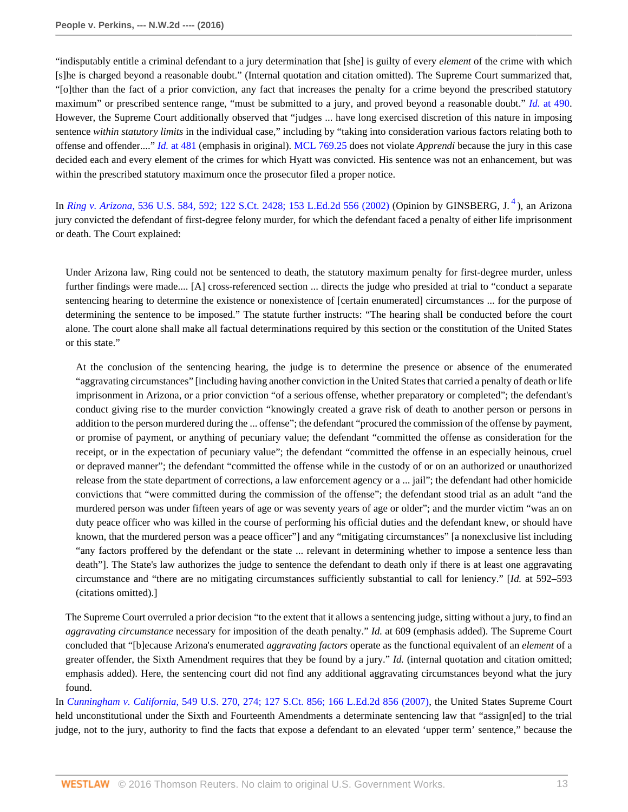"indisputably entitle a criminal defendant to a jury determination that [she] is guilty of every *element* of the crime with which [s]he is charged beyond a reasonable doubt." (Internal quotation and citation omitted). The Supreme Court summarized that, "[o]ther than the fact of a prior conviction, any fact that increases the penalty for a crime beyond the prescribed statutory maximum" or prescribed sentence range, "must be submitted to a jury, and proved beyond a reasonable doubt." *Id.* [at 490](http://www.westlaw.com/Link/Document/FullText?findType=Y&serNum=2000387238&pubNum=0000780&originatingDoc=I0e673addbf7611e590d4edf60ce7d742&refType=RP&fi=co_pp_sp_780_490&originationContext=document&vr=3.0&rs=cblt1.0&transitionType=DocumentItem&contextData=(sc.Keycite)#co_pp_sp_780_490). However, the Supreme Court additionally observed that "judges ... have long exercised discretion of this nature in imposing sentence *within statutory limits* in the individual case," including by "taking into consideration various factors relating both to offense and offender...." *Id.* [at 481](http://www.westlaw.com/Link/Document/FullText?findType=Y&serNum=2000387238&pubNum=0000780&originatingDoc=I0e673addbf7611e590d4edf60ce7d742&refType=RP&fi=co_pp_sp_780_481&originationContext=document&vr=3.0&rs=cblt1.0&transitionType=DocumentItem&contextData=(sc.Keycite)#co_pp_sp_780_481) (emphasis in original). [MCL 769.25](http://www.westlaw.com/Link/Document/FullText?findType=L&pubNum=1000043&cite=MIST769.25&originatingDoc=I0e673addbf7611e590d4edf60ce7d742&refType=LQ&originationContext=document&vr=3.0&rs=cblt1.0&transitionType=DocumentItem&contextData=(sc.Keycite)) does not violate *Apprendi* because the jury in this case decided each and every element of the crimes for which Hyatt was convicted. His sentence was not an enhancement, but was within the prescribed statutory maximum once the prosecutor filed a proper notice.

In *Ring v. Arizona,* [536 U.S. 584, 592; 122 S.Ct. 2428; 153 L.Ed.2d 556 \(2002\)](http://www.westlaw.com/Link/Document/FullText?findType=Y&serNum=2002390142&pubNum=0000708&originatingDoc=I0e673addbf7611e590d4edf60ce7d742&refType=RP&originationContext=document&vr=3.0&rs=cblt1.0&transitionType=DocumentItem&contextData=(sc.Keycite)) (Opinion by GINSBERG, J. [4](#page-15-3) ), an Arizona jury convicted the defendant of first-degree felony murder, for which the defendant faced a penalty of either life imprisonment or death. The Court explained:

<span id="page-12-0"></span>Under Arizona law, Ring could not be sentenced to death, the statutory maximum penalty for first-degree murder, unless further findings were made.... [A] cross-referenced section ... directs the judge who presided at trial to "conduct a separate sentencing hearing to determine the existence or nonexistence of [certain enumerated] circumstances ... for the purpose of determining the sentence to be imposed." The statute further instructs: "The hearing shall be conducted before the court alone. The court alone shall make all factual determinations required by this section or the constitution of the United States or this state."

At the conclusion of the sentencing hearing, the judge is to determine the presence or absence of the enumerated "aggravating circumstances" [including having another conviction in the United States that carried a penalty of death or life imprisonment in Arizona, or a prior conviction "of a serious offense, whether preparatory or completed"; the defendant's conduct giving rise to the murder conviction "knowingly created a grave risk of death to another person or persons in addition to the person murdered during the ... offense"; the defendant "procured the commission of the offense by payment, or promise of payment, or anything of pecuniary value; the defendant "committed the offense as consideration for the receipt, or in the expectation of pecuniary value"; the defendant "committed the offense in an especially heinous, cruel or depraved manner"; the defendant "committed the offense while in the custody of or on an authorized or unauthorized release from the state department of corrections, a law enforcement agency or a ... jail"; the defendant had other homicide convictions that "were committed during the commission of the offense"; the defendant stood trial as an adult "and the murdered person was under fifteen years of age or was seventy years of age or older"; and the murder victim "was an on duty peace officer who was killed in the course of performing his official duties and the defendant knew, or should have known, that the murdered person was a peace officer"] and any "mitigating circumstances" [a nonexclusive list including "any factors proffered by the defendant or the state ... relevant in determining whether to impose a sentence less than death"]. The State's law authorizes the judge to sentence the defendant to death only if there is at least one aggravating circumstance and "there are no mitigating circumstances sufficiently substantial to call for leniency." [*Id.* at 592–593 (citations omitted).]

The Supreme Court overruled a prior decision "to the extent that it allows a sentencing judge, sitting without a jury, to find an *aggravating circumstance* necessary for imposition of the death penalty." *Id.* at 609 (emphasis added). The Supreme Court concluded that "[b]ecause Arizona's enumerated *aggravating factors* operate as the functional equivalent of an *element* of a greater offender, the Sixth Amendment requires that they be found by a jury." *Id.* (internal quotation and citation omitted; emphasis added). Here, the sentencing court did not find any additional aggravating circumstances beyond what the jury found.

In *Cunningham v. California,* [549 U.S. 270, 274; 127 S.Ct. 856; 166 L.Ed.2d 856 \(2007\)](http://www.westlaw.com/Link/Document/FullText?findType=Y&serNum=2011243890&pubNum=0000708&originatingDoc=I0e673addbf7611e590d4edf60ce7d742&refType=RP&originationContext=document&vr=3.0&rs=cblt1.0&transitionType=DocumentItem&contextData=(sc.Keycite)), the United States Supreme Court held unconstitutional under the Sixth and Fourteenth Amendments a determinate sentencing law that "assign[ed] to the trial judge, not to the jury, authority to find the facts that expose a defendant to an elevated 'upper term' sentence," because the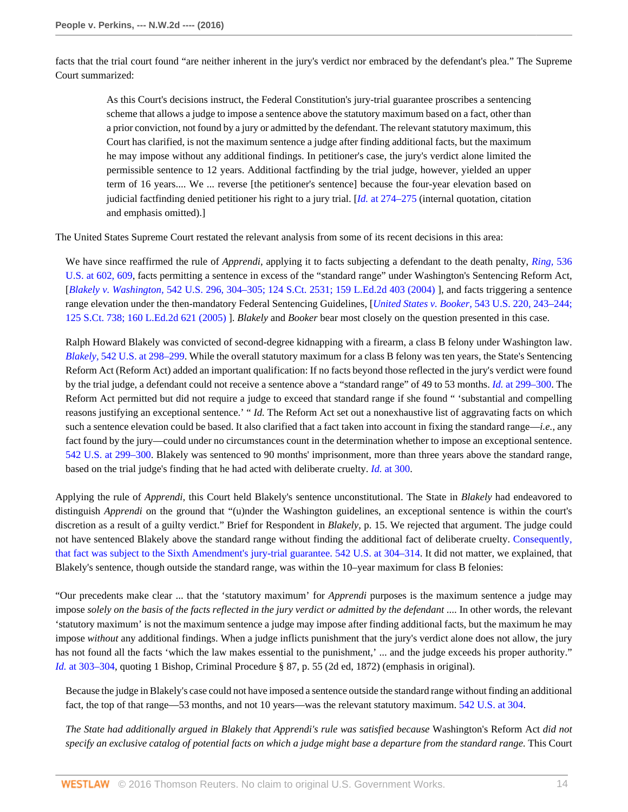facts that the trial court found "are neither inherent in the jury's verdict nor embraced by the defendant's plea." The Supreme Court summarized:

As this Court's decisions instruct, the Federal Constitution's jury-trial guarantee proscribes a sentencing scheme that allows a judge to impose a sentence above the statutory maximum based on a fact, other than a prior conviction, not found by a jury or admitted by the defendant. The relevant statutory maximum, this Court has clarified, is not the maximum sentence a judge after finding additional facts, but the maximum he may impose without any additional findings. In petitioner's case, the jury's verdict alone limited the permissible sentence to 12 years. Additional factfinding by the trial judge, however, yielded an upper term of 16 years.... We ... reverse [the petitioner's sentence] because the four-year elevation based on judicial factfinding denied petitioner his right to a jury trial. [*Id.* [at 274–275](http://www.westlaw.com/Link/Document/FullText?findType=Y&serNum=2011243890&pubNum=0000780&originatingDoc=I0e673addbf7611e590d4edf60ce7d742&refType=RP&fi=co_pp_sp_780_274&originationContext=document&vr=3.0&rs=cblt1.0&transitionType=DocumentItem&contextData=(sc.Keycite)#co_pp_sp_780_274) (internal quotation, citation and emphasis omitted).]

The United States Supreme Court restated the relevant analysis from some of its recent decisions in this area:

We have since reaffirmed the rule of *Apprendi,* applying it to facts subjecting a defendant to the death penalty, *[Ring,](http://www.westlaw.com/Link/Document/FullText?findType=Y&serNum=2002390142&pubNum=0000780&originatingDoc=I0e673addbf7611e590d4edf60ce7d742&refType=RP&fi=co_pp_sp_780_602&originationContext=document&vr=3.0&rs=cblt1.0&transitionType=DocumentItem&contextData=(sc.Keycite)#co_pp_sp_780_602)* 536 [U.S. at 602, 609](http://www.westlaw.com/Link/Document/FullText?findType=Y&serNum=2002390142&pubNum=0000780&originatingDoc=I0e673addbf7611e590d4edf60ce7d742&refType=RP&fi=co_pp_sp_780_602&originationContext=document&vr=3.0&rs=cblt1.0&transitionType=DocumentItem&contextData=(sc.Keycite)#co_pp_sp_780_602), facts permitting a sentence in excess of the "standard range" under Washington's Sentencing Reform Act, [*Blakely v. Washington,* [542 U.S. 296, 304–305; 124 S.Ct. 2531; 159 L.Ed.2d 403 \(2004\)](http://www.westlaw.com/Link/Document/FullText?findType=Y&serNum=2004622625&pubNum=0000708&originatingDoc=I0e673addbf7611e590d4edf60ce7d742&refType=RP&originationContext=document&vr=3.0&rs=cblt1.0&transitionType=DocumentItem&contextData=(sc.Keycite)) ], and facts triggering a sentence range elevation under the then-mandatory Federal Sentencing Guidelines, [*United States v. Booker,* [543 U.S. 220, 243–244;](http://www.westlaw.com/Link/Document/FullText?findType=Y&serNum=2005966569&pubNum=0000708&originatingDoc=I0e673addbf7611e590d4edf60ce7d742&refType=RP&originationContext=document&vr=3.0&rs=cblt1.0&transitionType=DocumentItem&contextData=(sc.Keycite)) [125 S.Ct. 738; 160 L.Ed.2d 621 \(2005\)](http://www.westlaw.com/Link/Document/FullText?findType=Y&serNum=2005966569&pubNum=0000708&originatingDoc=I0e673addbf7611e590d4edf60ce7d742&refType=RP&originationContext=document&vr=3.0&rs=cblt1.0&transitionType=DocumentItem&contextData=(sc.Keycite)) ]. *Blakely* and *Booker* bear most closely on the question presented in this case.

Ralph Howard Blakely was convicted of second-degree kidnapping with a firearm, a class B felony under Washington law. *Blakely,* [542 U.S. at 298–299.](http://www.westlaw.com/Link/Document/FullText?findType=Y&serNum=2004622625&pubNum=0000780&originatingDoc=I0e673addbf7611e590d4edf60ce7d742&refType=RP&fi=co_pp_sp_780_298&originationContext=document&vr=3.0&rs=cblt1.0&transitionType=DocumentItem&contextData=(sc.Keycite)#co_pp_sp_780_298) While the overall statutory maximum for a class B felony was ten years, the State's Sentencing Reform Act (Reform Act) added an important qualification: If no facts beyond those reflected in the jury's verdict were found by the trial judge, a defendant could not receive a sentence above a "standard range" of 49 to 53 months. *Id.* [at 299–300.](http://www.westlaw.com/Link/Document/FullText?findType=Y&serNum=2004622625&pubNum=0000780&originatingDoc=I0e673addbf7611e590d4edf60ce7d742&refType=RP&fi=co_pp_sp_780_299&originationContext=document&vr=3.0&rs=cblt1.0&transitionType=DocumentItem&contextData=(sc.Keycite)#co_pp_sp_780_299) The Reform Act permitted but did not require a judge to exceed that standard range if she found " 'substantial and compelling reasons justifying an exceptional sentence.' " *Id.* The Reform Act set out a nonexhaustive list of aggravating facts on which such a sentence elevation could be based. It also clarified that a fact taken into account in fixing the standard range—*i.e.,* any fact found by the jury—could under no circumstances count in the determination whether to impose an exceptional sentence. [542 U.S. at 299–300](http://www.westlaw.com/Link/Document/FullText?findType=Y&serNum=2004622625&pubNum=0000780&originatingDoc=I0e673addbf7611e590d4edf60ce7d742&refType=RP&fi=co_pp_sp_780_299&originationContext=document&vr=3.0&rs=cblt1.0&transitionType=DocumentItem&contextData=(sc.Keycite)#co_pp_sp_780_299). Blakely was sentenced to 90 months' imprisonment, more than three years above the standard range, based on the trial judge's finding that he had acted with deliberate cruelty. *Id.* [at 300.](http://www.westlaw.com/Link/Document/FullText?findType=Y&serNum=2004622625&pubNum=0000780&originatingDoc=I0e673addbf7611e590d4edf60ce7d742&refType=RP&fi=co_pp_sp_780_300&originationContext=document&vr=3.0&rs=cblt1.0&transitionType=DocumentItem&contextData=(sc.Keycite)#co_pp_sp_780_300)

Applying the rule of *Apprendi,* this Court held Blakely's sentence unconstitutional. The State in *Blakely* had endeavored to distinguish *Apprendi* on the ground that "(u)nder the Washington guidelines, an exceptional sentence is within the court's discretion as a result of a guilty verdict." Brief for Respondent in *Blakely,* p. 15. We rejected that argument. The judge could not have sentenced Blakely above the standard range without finding the additional fact of deliberate cruelty. [Consequently,](http://www.westlaw.com/Link/Document/FullText?findType=Y&serNum=2004622625&pubNum=0000780&originatingDoc=I0e673addbf7611e590d4edf60ce7d742&refType=RP&fi=co_pp_sp_780_304&originationContext=document&vr=3.0&rs=cblt1.0&transitionType=DocumentItem&contextData=(sc.Keycite)#co_pp_sp_780_304) [that fact was subject to the Sixth Amendment's jury-trial guarantee. 542 U.S. at 304–314.](http://www.westlaw.com/Link/Document/FullText?findType=Y&serNum=2004622625&pubNum=0000780&originatingDoc=I0e673addbf7611e590d4edf60ce7d742&refType=RP&fi=co_pp_sp_780_304&originationContext=document&vr=3.0&rs=cblt1.0&transitionType=DocumentItem&contextData=(sc.Keycite)#co_pp_sp_780_304) It did not matter, we explained, that Blakely's sentence, though outside the standard range, was within the 10–year maximum for class B felonies:

"Our precedents make clear ... that the 'statutory maximum' for *Apprendi* purposes is the maximum sentence a judge may impose *solely on the basis of the facts reflected in the jury verdict or admitted by the defendant* .... In other words, the relevant 'statutory maximum' is not the maximum sentence a judge may impose after finding additional facts, but the maximum he may impose *without* any additional findings. When a judge inflicts punishment that the jury's verdict alone does not allow, the jury has not found all the facts 'which the law makes essential to the punishment,' ... and the judge exceeds his proper authority." *Id.* [at 303–304](http://www.westlaw.com/Link/Document/FullText?findType=Y&serNum=2004622625&pubNum=0000780&originatingDoc=I0e673addbf7611e590d4edf60ce7d742&refType=RP&fi=co_pp_sp_780_303&originationContext=document&vr=3.0&rs=cblt1.0&transitionType=DocumentItem&contextData=(sc.Keycite)#co_pp_sp_780_303), quoting 1 Bishop, Criminal Procedure § 87, p. 55 (2d ed, 1872) (emphasis in original).

Because the judge in Blakely's case could not have imposed a sentence outside the standard range without finding an additional fact, the top of that range—53 months, and not 10 years—was the relevant statutory maximum. [542 U.S. at 304](http://www.westlaw.com/Link/Document/FullText?findType=Y&serNum=2004622625&pubNum=0000780&originatingDoc=I0e673addbf7611e590d4edf60ce7d742&refType=RP&fi=co_pp_sp_780_304&originationContext=document&vr=3.0&rs=cblt1.0&transitionType=DocumentItem&contextData=(sc.Keycite)#co_pp_sp_780_304).

*The State had additionally argued in Blakely that Apprendi's rule was satisfied because* Washington's Reform Act *did not specify an exclusive catalog of potential facts on which a judge might base a departure from the standard range.* This Court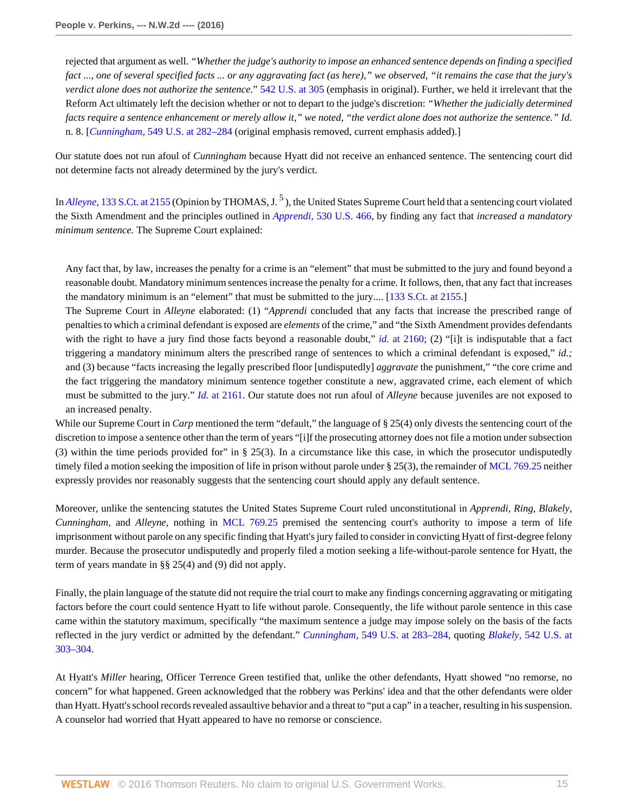rejected that argument as well. *"Whether the judge's authority to impose an enhanced sentence depends on finding a specified fact ..., one of several specified facts ... or any aggravating fact (as here)," we observed, "it remains the case that the jury's verdict alone does not authorize the sentence.*" [542 U.S. at 305](http://www.westlaw.com/Link/Document/FullText?findType=Y&serNum=2004622625&pubNum=0000780&originatingDoc=I0e673addbf7611e590d4edf60ce7d742&refType=RP&fi=co_pp_sp_780_305&originationContext=document&vr=3.0&rs=cblt1.0&transitionType=DocumentItem&contextData=(sc.Keycite)#co_pp_sp_780_305) (emphasis in original). Further, we held it irrelevant that the Reform Act ultimately left the decision whether or not to depart to the judge's discretion: *"Whether the judicially determined facts require a sentence enhancement or merely allow it," we noted, "the verdict alone does not authorize the sentence." Id.* n. 8. [*Cunningham,* [549 U.S. at 282–284](http://www.westlaw.com/Link/Document/FullText?findType=Y&serNum=2011243890&pubNum=0000780&originatingDoc=I0e673addbf7611e590d4edf60ce7d742&refType=RP&fi=co_pp_sp_780_282&originationContext=document&vr=3.0&rs=cblt1.0&transitionType=DocumentItem&contextData=(sc.Keycite)#co_pp_sp_780_282) (original emphasis removed, current emphasis added).]

Our statute does not run afoul of *Cunningham* because Hyatt did not receive an enhanced sentence. The sentencing court did not determine facts not already determined by the jury's verdict.

<span id="page-14-0"></span>In *Alleyne*, [133 S.Ct. at 2155](http://www.westlaw.com/Link/Document/FullText?findType=Y&serNum=2030794220&pubNum=0000708&originatingDoc=I0e673addbf7611e590d4edf60ce7d742&refType=RP&fi=co_pp_sp_708_2155&originationContext=document&vr=3.0&rs=cblt1.0&transitionType=DocumentItem&contextData=(sc.Keycite)#co_pp_sp_708_2155) (Opinion by THOMAS, J.<sup>[5](#page-16-0)</sup>), the United States Supreme Court held that a sentencing court violated the Sixth Amendment and the principles outlined in *Apprendi,* [530 U.S. 466](http://www.westlaw.com/Link/Document/FullText?findType=Y&serNum=2000387238&pubNum=0000780&originatingDoc=I0e673addbf7611e590d4edf60ce7d742&refType=RP&originationContext=document&vr=3.0&rs=cblt1.0&transitionType=DocumentItem&contextData=(sc.Keycite)), by finding any fact that *increased a mandatory minimum sentence.* The Supreme Court explained:

Any fact that, by law, increases the penalty for a crime is an "element" that must be submitted to the jury and found beyond a reasonable doubt. Mandatory minimum sentences increase the penalty for a crime. It follows, then, that any fact that increases the mandatory minimum is an "element" that must be submitted to the jury.... [[133 S.Ct. at 2155.](http://www.westlaw.com/Link/Document/FullText?findType=Y&serNum=2030794220&pubNum=0000708&originatingDoc=I0e673addbf7611e590d4edf60ce7d742&refType=RP&fi=co_pp_sp_708_2155&originationContext=document&vr=3.0&rs=cblt1.0&transitionType=DocumentItem&contextData=(sc.Keycite)#co_pp_sp_708_2155)]

The Supreme Court in *Alleyne* elaborated: (1) "*Apprendi* concluded that any facts that increase the prescribed range of penalties to which a criminal defendant is exposed are *elements* of the crime," and "the Sixth Amendment provides defendants with the right to have a jury find those facts beyond a reasonable doubt," *id.* [at 2160;](http://www.westlaw.com/Link/Document/FullText?findType=Y&serNum=2030794220&pubNum=0000708&originatingDoc=I0e673addbf7611e590d4edf60ce7d742&refType=RP&fi=co_pp_sp_708_2160&originationContext=document&vr=3.0&rs=cblt1.0&transitionType=DocumentItem&contextData=(sc.Keycite)#co_pp_sp_708_2160) (2) "[i]t is indisputable that a fact triggering a mandatory minimum alters the prescribed range of sentences to which a criminal defendant is exposed," *id.;* and (3) because "facts increasing the legally prescribed floor [undisputedly] *aggravate* the punishment," "the core crime and the fact triggering the mandatory minimum sentence together constitute a new, aggravated crime, each element of which must be submitted to the jury." *Id.* [at 2161.](http://www.westlaw.com/Link/Document/FullText?findType=Y&serNum=2030794220&pubNum=0000708&originatingDoc=I0e673addbf7611e590d4edf60ce7d742&refType=RP&fi=co_pp_sp_708_2161&originationContext=document&vr=3.0&rs=cblt1.0&transitionType=DocumentItem&contextData=(sc.Keycite)#co_pp_sp_708_2161) Our statute does not run afoul of *Alleyne* because juveniles are not exposed to an increased penalty.

While our Supreme Court in *Carp* mentioned the term "default," the language of § 25(4) only divests the sentencing court of the discretion to impose a sentence other than the term of years "[i]f the prosecuting attorney does not file a motion under subsection (3) within the time periods provided for" in  $\S$  25(3). In a circumstance like this case, in which the prosecutor undisputedly timely filed a motion seeking the imposition of life in prison without parole under § 25(3), the remainder of [MCL 769.25](http://www.westlaw.com/Link/Document/FullText?findType=L&pubNum=1000043&cite=MIST769.25&originatingDoc=I0e673addbf7611e590d4edf60ce7d742&refType=LQ&originationContext=document&vr=3.0&rs=cblt1.0&transitionType=DocumentItem&contextData=(sc.Keycite)) neither expressly provides nor reasonably suggests that the sentencing court should apply any default sentence.

Moreover, unlike the sentencing statutes the United States Supreme Court ruled unconstitutional in *Apprendi, Ring, Blakely, Cunningham,* and *Alleyne,* nothing in [MCL 769.25](http://www.westlaw.com/Link/Document/FullText?findType=L&pubNum=1000043&cite=MIST769.25&originatingDoc=I0e673addbf7611e590d4edf60ce7d742&refType=LQ&originationContext=document&vr=3.0&rs=cblt1.0&transitionType=DocumentItem&contextData=(sc.Keycite)) premised the sentencing court's authority to impose a term of life imprisonment without parole on any specific finding that Hyatt's jury failed to consider in convicting Hyatt of first-degree felony murder. Because the prosecutor undisputedly and properly filed a motion seeking a life-without-parole sentence for Hyatt, the term of years mandate in §§ 25(4) and (9) did not apply.

Finally, the plain language of the statute did not require the trial court to make any findings concerning aggravating or mitigating factors before the court could sentence Hyatt to life without parole. Consequently, the life without parole sentence in this case came within the statutory maximum, specifically "the maximum sentence a judge may impose solely on the basis of the facts reflected in the jury verdict or admitted by the defendant." *Cunningham,* [549 U.S. at 283–284](http://www.westlaw.com/Link/Document/FullText?findType=Y&serNum=2011243890&pubNum=0000780&originatingDoc=I0e673addbf7611e590d4edf60ce7d742&refType=RP&fi=co_pp_sp_780_283&originationContext=document&vr=3.0&rs=cblt1.0&transitionType=DocumentItem&contextData=(sc.Keycite)#co_pp_sp_780_283), quoting *Blakely,* [542 U.S. at](http://www.westlaw.com/Link/Document/FullText?findType=Y&serNum=2004622625&pubNum=0000780&originatingDoc=I0e673addbf7611e590d4edf60ce7d742&refType=RP&fi=co_pp_sp_780_303&originationContext=document&vr=3.0&rs=cblt1.0&transitionType=DocumentItem&contextData=(sc.Keycite)#co_pp_sp_780_303) [303–304](http://www.westlaw.com/Link/Document/FullText?findType=Y&serNum=2004622625&pubNum=0000780&originatingDoc=I0e673addbf7611e590d4edf60ce7d742&refType=RP&fi=co_pp_sp_780_303&originationContext=document&vr=3.0&rs=cblt1.0&transitionType=DocumentItem&contextData=(sc.Keycite)#co_pp_sp_780_303).

At Hyatt's *Miller* hearing, Officer Terrence Green testified that, unlike the other defendants, Hyatt showed "no remorse, no concern" for what happened. Green acknowledged that the robbery was Perkins' idea and that the other defendants were older than Hyatt. Hyatt's school records revealed assaultive behavior and a threat to "put a cap" in a teacher, resulting in his suspension. A counselor had worried that Hyatt appeared to have no remorse or conscience.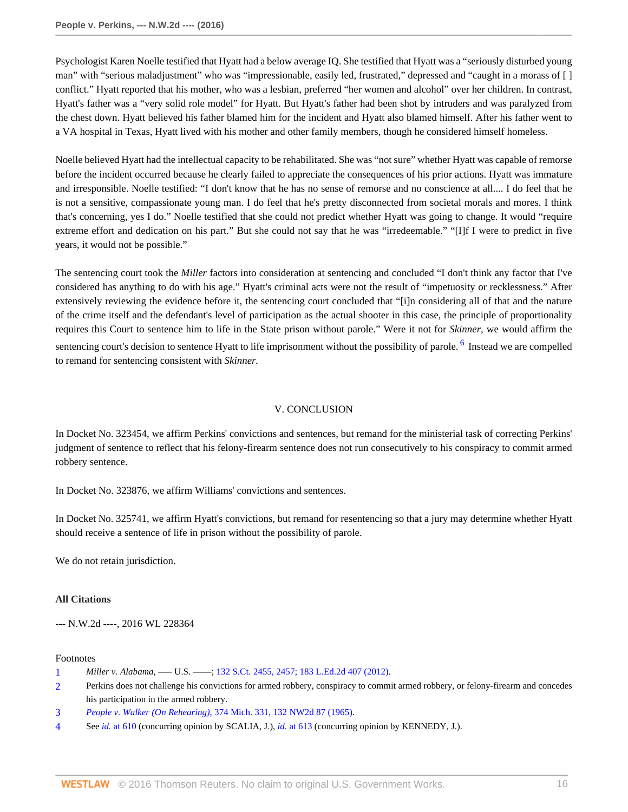Psychologist Karen Noelle testified that Hyatt had a below average IQ. She testified that Hyatt was a "seriously disturbed young man" with "serious maladjustment" who was "impressionable, easily led, frustrated," depressed and "caught in a morass of [ ] conflict." Hyatt reported that his mother, who was a lesbian, preferred "her women and alcohol" over her children. In contrast, Hyatt's father was a "very solid role model" for Hyatt. But Hyatt's father had been shot by intruders and was paralyzed from the chest down. Hyatt believed his father blamed him for the incident and Hyatt also blamed himself. After his father went to a VA hospital in Texas, Hyatt lived with his mother and other family members, though he considered himself homeless.

Noelle believed Hyatt had the intellectual capacity to be rehabilitated. She was "not sure" whether Hyatt was capable of remorse before the incident occurred because he clearly failed to appreciate the consequences of his prior actions. Hyatt was immature and irresponsible. Noelle testified: "I don't know that he has no sense of remorse and no conscience at all.... I do feel that he is not a sensitive, compassionate young man. I do feel that he's pretty disconnected from societal morals and mores. I think that's concerning, yes I do." Noelle testified that she could not predict whether Hyatt was going to change. It would "require extreme effort and dedication on his part." But she could not say that he was "irredeemable." "[I]f I were to predict in five years, it would not be possible."

The sentencing court took the *Miller* factors into consideration at sentencing and concluded "I don't think any factor that I've considered has anything to do with his age." Hyatt's criminal acts were not the result of "impetuosity or recklessness." After extensively reviewing the evidence before it, the sentencing court concluded that "[i]n considering all of that and the nature of the crime itself and the defendant's level of participation as the actual shooter in this case, the principle of proportionality requires this Court to sentence him to life in the State prison without parole." Were it not for *Skinner,* we would affirm the sentencing court's decision to sentence Hyatt to life imprisonment without the possibility of parole. <sup>[6](#page-16-1)</sup> Instead we are compelled to remand for sentencing consistent with *Skinner.*

# <span id="page-15-4"></span>V. CONCLUSION

In Docket No. 323454, we affirm Perkins' convictions and sentences, but remand for the ministerial task of correcting Perkins' judgment of sentence to reflect that his felony-firearm sentence does not run consecutively to his conspiracy to commit armed robbery sentence.

In Docket No. 323876, we affirm Williams' convictions and sentences.

In Docket No. 325741, we affirm Hyatt's convictions, but remand for resentencing so that a jury may determine whether Hyatt should receive a sentence of life in prison without the possibility of parole.

We do not retain jurisdiction.

## **All Citations**

--- N.W.2d ----, 2016 WL 228364

## Footnotes

- <span id="page-15-0"></span>[1](#page-0-0) *Miller v. Alabama, -- U.S. ----*; [132 S.Ct. 2455, 2457; 183 L.Ed.2d 407 \(2012\)](http://www.westlaw.com/Link/Document/FullText?findType=Y&serNum=2027964006&pubNum=0000708&originatingDoc=I0e673addbf7611e590d4edf60ce7d742&refType=RP&fi=co_pp_sp_708_2457&originationContext=document&vr=3.0&rs=cblt1.0&transitionType=DocumentItem&contextData=(sc.Keycite)#co_pp_sp_708_2457).
- <span id="page-15-1"></span>[2](#page-1-0) Perkins does not challenge his convictions for armed robbery, conspiracy to commit armed robbery, or felony-firearm and concedes his participation in the armed robbery.
- <span id="page-15-2"></span>[3](#page-3-0) *People v. Walker (On Rehearing),* [374 Mich. 331, 132 NW2d 87 \(1965\).](http://www.westlaw.com/Link/Document/FullText?findType=Y&serNum=1965117906&pubNum=0000595&originatingDoc=I0e673addbf7611e590d4edf60ce7d742&refType=RP&originationContext=document&vr=3.0&rs=cblt1.0&transitionType=DocumentItem&contextData=(sc.Keycite))
- <span id="page-15-3"></span>[4](#page-12-0) See *id.* [at 610](http://www.westlaw.com/Link/Document/FullText?findType=Y&serNum=2002390142&pubNum=0000780&originatingDoc=I0e673addbf7611e590d4edf60ce7d742&refType=RP&fi=co_pp_sp_780_610&originationContext=document&vr=3.0&rs=cblt1.0&transitionType=DocumentItem&contextData=(sc.Keycite)#co_pp_sp_780_610) (concurring opinion by SCALIA, J.), *id.* [at 613](http://www.westlaw.com/Link/Document/FullText?findType=Y&serNum=2002390142&pubNum=0000780&originatingDoc=I0e673addbf7611e590d4edf60ce7d742&refType=RP&fi=co_pp_sp_780_613&originationContext=document&vr=3.0&rs=cblt1.0&transitionType=DocumentItem&contextData=(sc.Keycite)#co_pp_sp_780_613) (concurring opinion by KENNEDY, J.).